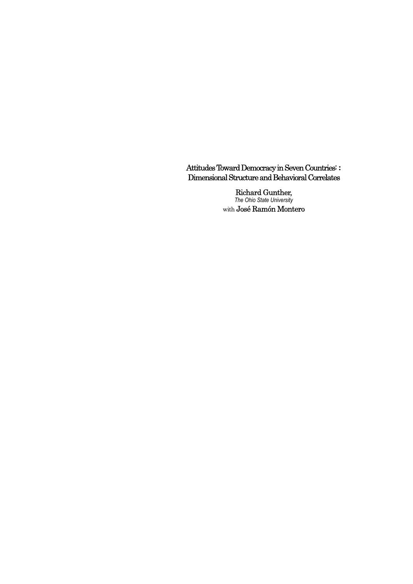Attitudes Toward Democracy in Seven Countries: **:** Dimensional Structure and Behavioral Correlates

> Richard Gunther, *The Ohio State University*  with José Ramón Montero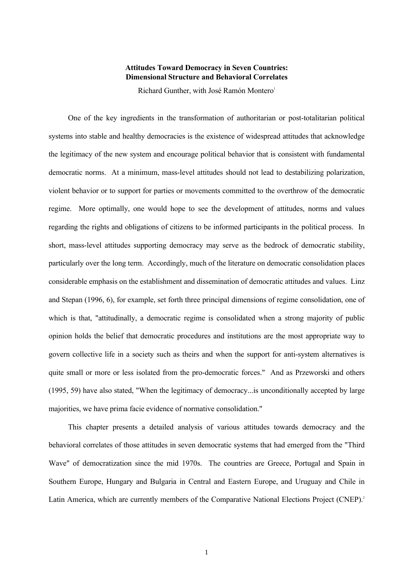# **Attitudes Toward Democracy in Seven Countries: Dimensional Structure and Behavioral Correlates**

Richard Gunther, with José Ramón Montero<sup>1</sup>

 One of the key ingredients in the transformation of authoritarian or post-totalitarian political systems into stable and healthy democracies is the existence of widespread attitudes that acknowledge the legitimacy of the new system and encourage political behavior that is consistent with fundamental democratic norms. At a minimum, mass-level attitudes should not lead to destabilizing polarization, violent behavior or to support for parties or movements committed to the overthrow of the democratic regime. More optimally, one would hope to see the development of attitudes, norms and values regarding the rights and obligations of citizens to be informed participants in the political process. In short, mass-level attitudes supporting democracy may serve as the bedrock of democratic stability, particularly over the long term. Accordingly, much of the literature on democratic consolidation places considerable emphasis on the establishment and dissemination of democratic attitudes and values. Linz and Stepan (1996, 6), for example, set forth three principal dimensions of regime consolidation, one of which is that, "attitudinally, a democratic regime is consolidated when a strong majority of public opinion holds the belief that democratic procedures and institutions are the most appropriate way to govern collective life in a society such as theirs and when the support for anti-system alternatives is quite small or more or less isolated from the pro-democratic forces." And as Przeworski and others (1995, 59) have also stated, "When the legitimacy of democracy...is unconditionally accepted by large majorities, we have prima facie evidence of normative consolidation."

 This chapter presents a detailed analysis of various attitudes towards democracy and the behavioral correlates of those attitudes in seven democratic systems that had emerged from the "Third Wave" of democratization since the mid 1970s. The countries are Greece, Portugal and Spain in Southern Europe, Hungary and Bulgaria in Central and Eastern Europe, and Uruguay and Chile in Latin America, which are currently members of the Comparative National Elections Project (CNEP).<sup>2</sup>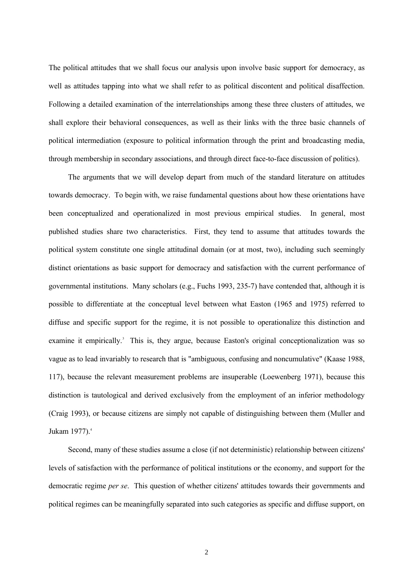The political attitudes that we shall focus our analysis upon involve basic support for democracy, as well as attitudes tapping into what we shall refer to as political discontent and political disaffection. Following a detailed examination of the interrelationships among these three clusters of attitudes, we shall explore their behavioral consequences, as well as their links with the three basic channels of political intermediation (exposure to political information through the print and broadcasting media, through membership in secondary associations, and through direct face-to-face discussion of politics).

 The arguments that we will develop depart from much of the standard literature on attitudes towards democracy. To begin with, we raise fundamental questions about how these orientations have been conceptualized and operationalized in most previous empirical studies. In general, most published studies share two characteristics. First, they tend to assume that attitudes towards the political system constitute one single attitudinal domain (or at most, two), including such seemingly distinct orientations as basic support for democracy and satisfaction with the current performance of governmental institutions. Many scholars (e.g., Fuchs 1993, 235-7) have contended that, although it is possible to differentiate at the conceptual level between what Easton (1965 and 1975) referred to diffuse and specific support for the regime, it is not possible to operationalize this distinction and examine it empirically.<sup>3</sup> This is, they argue, because Easton's original conceptionalization was so vague as to lead invariably to research that is "ambiguous, confusing and noncumulative" (Kaase 1988, 117), because the relevant measurement problems are insuperable (Loewenberg 1971), because this distinction is tautological and derived exclusively from the employment of an inferior methodology (Craig 1993), or because citizens are simply not capable of distinguishing between them (Muller and Jukam 1977).<sup>4</sup>

 Second, many of these studies assume a close (if not deterministic) relationship between citizens' levels of satisfaction with the performance of political institutions or the economy, and support for the democratic regime *per se*. This question of whether citizens' attitudes towards their governments and political regimes can be meaningfully separated into such categories as specific and diffuse support, on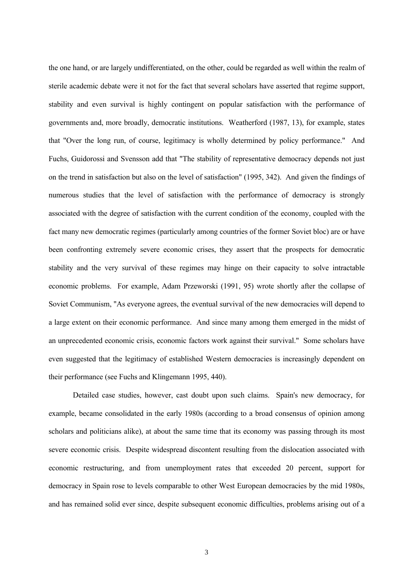the one hand, or are largely undifferentiated, on the other, could be regarded as well within the realm of sterile academic debate were it not for the fact that several scholars have asserted that regime support, stability and even survival is highly contingent on popular satisfaction with the performance of governments and, more broadly, democratic institutions. Weatherford (1987, 13), for example, states that "Over the long run, of course, legitimacy is wholly determined by policy performance." And Fuchs, Guidorossi and Svensson add that "The stability of representative democracy depends not just on the trend in satisfaction but also on the level of satisfaction" (1995, 342). And given the findings of numerous studies that the level of satisfaction with the performance of democracy is strongly associated with the degree of satisfaction with the current condition of the economy, coupled with the fact many new democratic regimes (particularly among countries of the former Soviet bloc) are or have been confronting extremely severe economic crises, they assert that the prospects for democratic stability and the very survival of these regimes may hinge on their capacity to solve intractable economic problems. For example, Adam Przeworski (1991, 95) wrote shortly after the collapse of Soviet Communism, "As everyone agrees, the eventual survival of the new democracies will depend to a large extent on their economic performance. And since many among them emerged in the midst of an unprecedented economic crisis, economic factors work against their survival." Some scholars have even suggested that the legitimacy of established Western democracies is increasingly dependent on their performance (see Fuchs and Klingemann 1995, 440).

 Detailed case studies, however, cast doubt upon such claims. Spain's new democracy, for example, became consolidated in the early 1980s (according to a broad consensus of opinion among scholars and politicians alike), at about the same time that its economy was passing through its most severe economic crisis. Despite widespread discontent resulting from the dislocation associated with economic restructuring, and from unemployment rates that exceeded 20 percent, support for democracy in Spain rose to levels comparable to other West European democracies by the mid 1980s, and has remained solid ever since, despite subsequent economic difficulties, problems arising out of a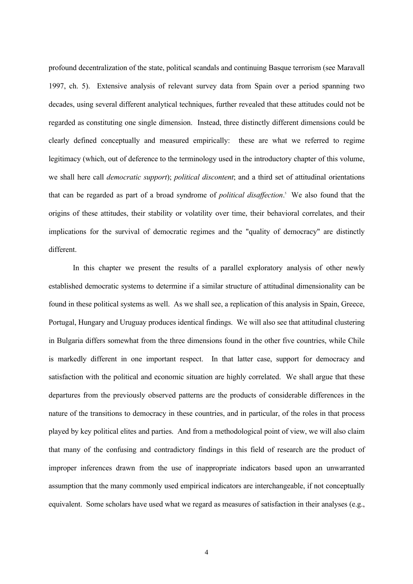profound decentralization of the state, political scandals and continuing Basque terrorism (see Maravall 1997, ch. 5). Extensive analysis of relevant survey data from Spain over a period spanning two decades, using several different analytical techniques, further revealed that these attitudes could not be regarded as constituting one single dimension. Instead, three distinctly different dimensions could be clearly defined conceptually and measured empirically: these are what we referred to regime legitimacy (which, out of deference to the terminology used in the introductory chapter of this volume, we shall here call *democratic support*); *political discontent*; and a third set of attitudinal orientations that can be regarded as part of a broad syndrome of *political disaffection*. 5 We also found that the origins of these attitudes, their stability or volatility over time, their behavioral correlates, and their implications for the survival of democratic regimes and the "quality of democracy" are distinctly different.

 In this chapter we present the results of a parallel exploratory analysis of other newly established democratic systems to determine if a similar structure of attitudinal dimensionality can be found in these political systems as well. As we shall see, a replication of this analysis in Spain, Greece, Portugal, Hungary and Uruguay produces identical findings. We will also see that attitudinal clustering in Bulgaria differs somewhat from the three dimensions found in the other five countries, while Chile is markedly different in one important respect. In that latter case, support for democracy and satisfaction with the political and economic situation are highly correlated. We shall argue that these departures from the previously observed patterns are the products of considerable differences in the nature of the transitions to democracy in these countries, and in particular, of the roles in that process played by key political elites and parties. And from a methodological point of view, we will also claim that many of the confusing and contradictory findings in this field of research are the product of improper inferences drawn from the use of inappropriate indicators based upon an unwarranted assumption that the many commonly used empirical indicators are interchangeable, if not conceptually equivalent. Some scholars have used what we regard as measures of satisfaction in their analyses (e.g.,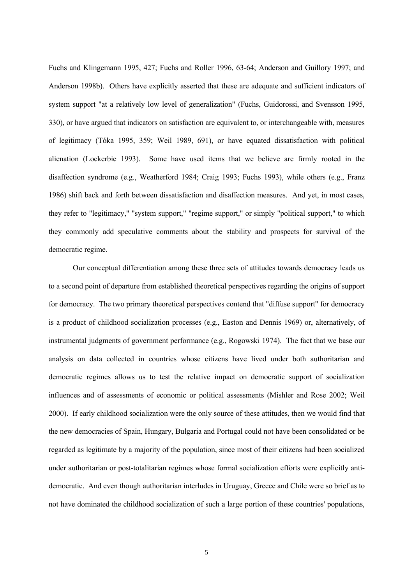Fuchs and Klingemann 1995, 427; Fuchs and Roller 1996, 63-64; Anderson and Guillory 1997; and Anderson 1998b). Others have explicitly asserted that these are adequate and sufficient indicators of system support "at a relatively low level of generalization" (Fuchs, Guidorossi, and Svensson 1995, 330), or have argued that indicators on satisfaction are equivalent to, or interchangeable with, measures of legitimacy (Tóka 1995, 359; Weil 1989, 691), or have equated dissatisfaction with political alienation (Lockerbie 1993). Some have used items that we believe are firmly rooted in the disaffection syndrome (e.g., Weatherford 1984; Craig 1993; Fuchs 1993), while others (e.g., Franz 1986) shift back and forth between dissatisfaction and disaffection measures. And yet, in most cases, they refer to "legitimacy," "system support," "regime support," or simply "political support," to which they commonly add speculative comments about the stability and prospects for survival of the democratic regime.

 Our conceptual differentiation among these three sets of attitudes towards democracy leads us to a second point of departure from established theoretical perspectives regarding the origins of support for democracy. The two primary theoretical perspectives contend that "diffuse support" for democracy is a product of childhood socialization processes (e.g., Easton and Dennis 1969) or, alternatively, of instrumental judgments of government performance (e.g., Rogowski 1974). The fact that we base our analysis on data collected in countries whose citizens have lived under both authoritarian and democratic regimes allows us to test the relative impact on democratic support of socialization influences and of assessments of economic or political assessments (Mishler and Rose 2002; Weil 2000). If early childhood socialization were the only source of these attitudes, then we would find that the new democracies of Spain, Hungary, Bulgaria and Portugal could not have been consolidated or be regarded as legitimate by a majority of the population, since most of their citizens had been socialized under authoritarian or post-totalitarian regimes whose formal socialization efforts were explicitly antidemocratic. And even though authoritarian interludes in Uruguay, Greece and Chile were so brief as to not have dominated the childhood socialization of such a large portion of these countries' populations,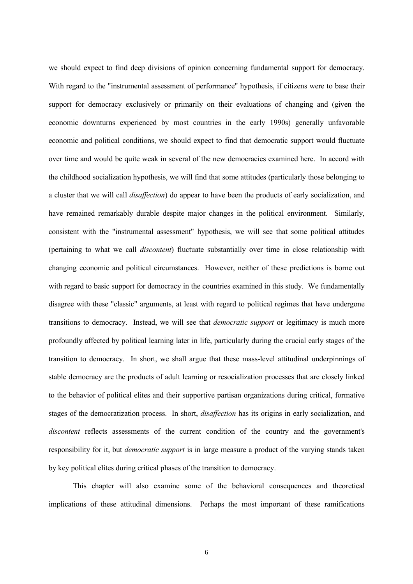we should expect to find deep divisions of opinion concerning fundamental support for democracy. With regard to the "instrumental assessment of performance" hypothesis, if citizens were to base their support for democracy exclusively or primarily on their evaluations of changing and (given the economic downturns experienced by most countries in the early 1990s) generally unfavorable economic and political conditions, we should expect to find that democratic support would fluctuate over time and would be quite weak in several of the new democracies examined here. In accord with the childhood socialization hypothesis, we will find that some attitudes (particularly those belonging to a cluster that we will call *disaffection*) do appear to have been the products of early socialization, and have remained remarkably durable despite major changes in the political environment. Similarly, consistent with the "instrumental assessment" hypothesis, we will see that some political attitudes (pertaining to what we call *discontent*) fluctuate substantially over time in close relationship with changing economic and political circumstances. However, neither of these predictions is borne out with regard to basic support for democracy in the countries examined in this study. We fundamentally disagree with these "classic" arguments, at least with regard to political regimes that have undergone transitions to democracy. Instead, we will see that *democratic support* or legitimacy is much more profoundly affected by political learning later in life, particularly during the crucial early stages of the transition to democracy. In short, we shall argue that these mass-level attitudinal underpinnings of stable democracy are the products of adult learning or resocialization processes that are closely linked to the behavior of political elites and their supportive partisan organizations during critical, formative stages of the democratization process. In short, *disaffection* has its origins in early socialization, and *discontent* reflects assessments of the current condition of the country and the government's responsibility for it, but *democratic support* is in large measure a product of the varying stands taken by key political elites during critical phases of the transition to democracy.

 This chapter will also examine some of the behavioral consequences and theoretical implications of these attitudinal dimensions. Perhaps the most important of these ramifications

6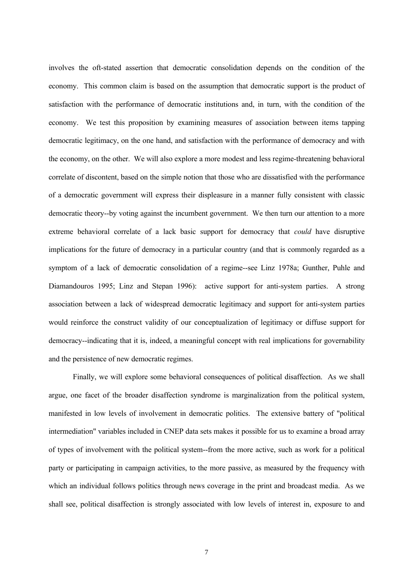involves the oft-stated assertion that democratic consolidation depends on the condition of the economy. This common claim is based on the assumption that democratic support is the product of satisfaction with the performance of democratic institutions and, in turn, with the condition of the economy. We test this proposition by examining measures of association between items tapping democratic legitimacy, on the one hand, and satisfaction with the performance of democracy and with the economy, on the other. We will also explore a more modest and less regime-threatening behavioral correlate of discontent, based on the simple notion that those who are dissatisfied with the performance of a democratic government will express their displeasure in a manner fully consistent with classic democratic theory--by voting against the incumbent government. We then turn our attention to a more extreme behavioral correlate of a lack basic support for democracy that *could* have disruptive implications for the future of democracy in a particular country (and that is commonly regarded as a symptom of a lack of democratic consolidation of a regime--see Linz 1978a; Gunther, Puhle and Diamandouros 1995; Linz and Stepan 1996): active support for anti-system parties. A strong association between a lack of widespread democratic legitimacy and support for anti-system parties would reinforce the construct validity of our conceptualization of legitimacy or diffuse support for democracy--indicating that it is, indeed, a meaningful concept with real implications for governability and the persistence of new democratic regimes.

 Finally, we will explore some behavioral consequences of political disaffection. As we shall argue, one facet of the broader disaffection syndrome is marginalization from the political system, manifested in low levels of involvement in democratic politics. The extensive battery of "political intermediation" variables included in CNEP data sets makes it possible for us to examine a broad array of types of involvement with the political system--from the more active, such as work for a political party or participating in campaign activities, to the more passive, as measured by the frequency with which an individual follows politics through news coverage in the print and broadcast media. As we shall see, political disaffection is strongly associated with low levels of interest in, exposure to and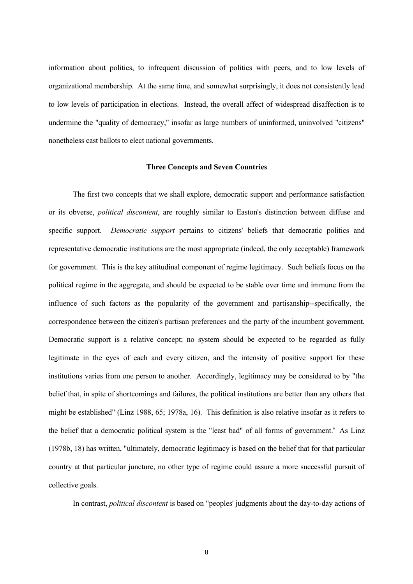information about politics, to infrequent discussion of politics with peers, and to low levels of organizational membership. At the same time, and somewhat surprisingly, it does not consistently lead to low levels of participation in elections. Instead, the overall affect of widespread disaffection is to undermine the "quality of democracy," insofar as large numbers of uninformed, uninvolved "citizens" nonetheless cast ballots to elect national governments.

### **Three Concepts and Seven Countries**

 The first two concepts that we shall explore, democratic support and performance satisfaction or its obverse, *political discontent*, are roughly similar to Easton's distinction between diffuse and specific support. *Democratic support* pertains to citizens' beliefs that democratic politics and representative democratic institutions are the most appropriate (indeed, the only acceptable) framework for government. This is the key attitudinal component of regime legitimacy. Such beliefs focus on the political regime in the aggregate, and should be expected to be stable over time and immune from the influence of such factors as the popularity of the government and partisanship--specifically, the correspondence between the citizen's partisan preferences and the party of the incumbent government. Democratic support is a relative concept; no system should be expected to be regarded as fully legitimate in the eyes of each and every citizen, and the intensity of positive support for these institutions varies from one person to another. Accordingly, legitimacy may be considered to by "the belief that, in spite of shortcomings and failures, the political institutions are better than any others that might be established" (Linz 1988, 65; 1978a, 16). This definition is also relative insofar as it refers to the belief that a democratic political system is the "least bad" of all forms of government.<sup>6</sup> As Linz (1978b, 18) has written, "ultimately, democratic legitimacy is based on the belief that for that particular country at that particular juncture, no other type of regime could assure a more successful pursuit of collective goals.

In contrast, *political discontent* is based on "peoples' judgments about the day-to-day actions of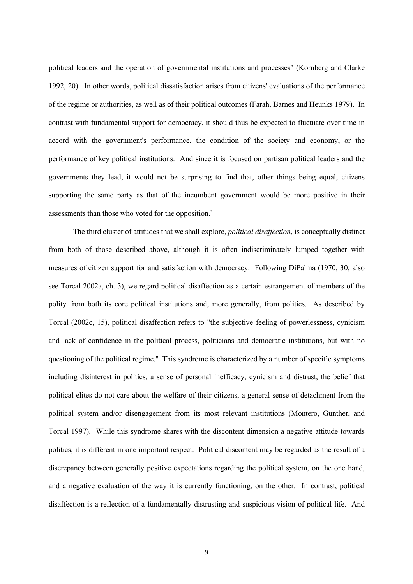political leaders and the operation of governmental institutions and processes" (Kornberg and Clarke 1992, 20). In other words, political dissatisfaction arises from citizens' evaluations of the performance of the regime or authorities, as well as of their political outcomes (Farah, Barnes and Heunks 1979). In contrast with fundamental support for democracy, it should thus be expected to fluctuate over time in accord with the government's performance, the condition of the society and economy, or the performance of key political institutions. And since it is focused on partisan political leaders and the governments they lead, it would not be surprising to find that, other things being equal, citizens supporting the same party as that of the incumbent government would be more positive in their assessments than those who voted for the opposition.<sup>7</sup>

 The third cluster of attitudes that we shall explore, *political disaffection*, is conceptually distinct from both of those described above, although it is often indiscriminately lumped together with measures of citizen support for and satisfaction with democracy. Following DiPalma (1970, 30; also see Torcal 2002a, ch. 3), we regard political disaffection as a certain estrangement of members of the polity from both its core political institutions and, more generally, from politics. As described by Torcal (2002c, 15), political disaffection refers to "the subjective feeling of powerlessness, cynicism and lack of confidence in the political process, politicians and democratic institutions, but with no questioning of the political regime." This syndrome is characterized by a number of specific symptoms including disinterest in politics, a sense of personal inefficacy, cynicism and distrust, the belief that political elites do not care about the welfare of their citizens, a general sense of detachment from the political system and/or disengagement from its most relevant institutions (Montero, Gunther, and Torcal 1997). While this syndrome shares with the discontent dimension a negative attitude towards politics, it is different in one important respect. Political discontent may be regarded as the result of a discrepancy between generally positive expectations regarding the political system, on the one hand, and a negative evaluation of the way it is currently functioning, on the other. In contrast, political disaffection is a reflection of a fundamentally distrusting and suspicious vision of political life. And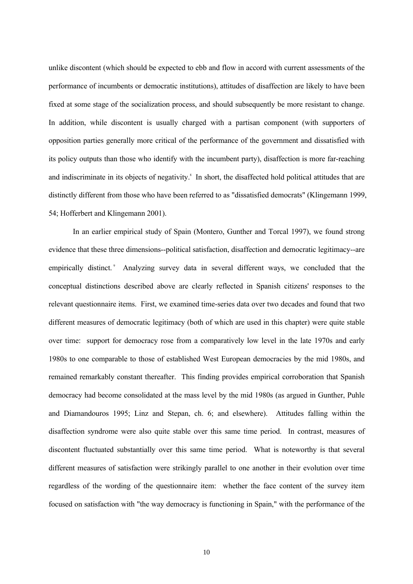unlike discontent (which should be expected to ebb and flow in accord with current assessments of the performance of incumbents or democratic institutions), attitudes of disaffection are likely to have been fixed at some stage of the socialization process, and should subsequently be more resistant to change. In addition, while discontent is usually charged with a partisan component (with supporters of opposition parties generally more critical of the performance of the government and dissatisfied with its policy outputs than those who identify with the incumbent party), disaffection is more far-reaching and indiscriminate in its objects of negativity.<sup>8</sup> In short, the disaffected hold political attitudes that are distinctly different from those who have been referred to as "dissatisfied democrats" (Klingemann 1999, 54; Hofferbert and Klingemann 2001).

 In an earlier empirical study of Spain (Montero, Gunther and Torcal 1997), we found strong evidence that these three dimensions--political satisfaction, disaffection and democratic legitimacy--are empirically distinct.<sup>9</sup> Analyzing survey data in several different ways, we concluded that the conceptual distinctions described above are clearly reflected in Spanish citizens' responses to the relevant questionnaire items. First, we examined time-series data over two decades and found that two different measures of democratic legitimacy (both of which are used in this chapter) were quite stable over time: support for democracy rose from a comparatively low level in the late 1970s and early 1980s to one comparable to those of established West European democracies by the mid 1980s, and remained remarkably constant thereafter. This finding provides empirical corroboration that Spanish democracy had become consolidated at the mass level by the mid 1980s (as argued in Gunther, Puhle and Diamandouros 1995; Linz and Stepan, ch. 6; and elsewhere). Attitudes falling within the disaffection syndrome were also quite stable over this same time period. In contrast, measures of discontent fluctuated substantially over this same time period. What is noteworthy is that several different measures of satisfaction were strikingly parallel to one another in their evolution over time regardless of the wording of the questionnaire item: whether the face content of the survey item focused on satisfaction with "the way democracy is functioning in Spain," with the performance of the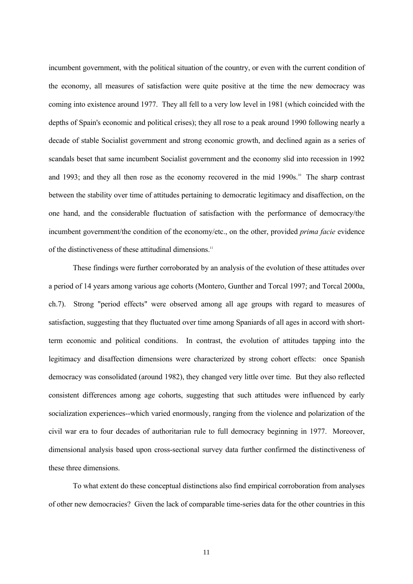incumbent government, with the political situation of the country, or even with the current condition of the economy, all measures of satisfaction were quite positive at the time the new democracy was coming into existence around 1977. They all fell to a very low level in 1981 (which coincided with the depths of Spain's economic and political crises); they all rose to a peak around 1990 following nearly a decade of stable Socialist government and strong economic growth, and declined again as a series of scandals beset that same incumbent Socialist government and the economy slid into recession in 1992 and 1993; and they all then rose as the economy recovered in the mid  $1990s$ <sup>10</sup>. The sharp contrast between the stability over time of attitudes pertaining to democratic legitimacy and disaffection, on the one hand, and the considerable fluctuation of satisfaction with the performance of democracy/the incumbent government/the condition of the economy/etc., on the other, provided *prima facie* evidence of the distinctiveness of these attitudinal dimensions.<sup>11</sup>

 These findings were further corroborated by an analysis of the evolution of these attitudes over a period of 14 years among various age cohorts (Montero, Gunther and Torcal 1997; and Torcal 2000a, ch.7). Strong "period effects" were observed among all age groups with regard to measures of satisfaction, suggesting that they fluctuated over time among Spaniards of all ages in accord with shortterm economic and political conditions. In contrast, the evolution of attitudes tapping into the legitimacy and disaffection dimensions were characterized by strong cohort effects: once Spanish democracy was consolidated (around 1982), they changed very little over time. But they also reflected consistent differences among age cohorts, suggesting that such attitudes were influenced by early socialization experiences--which varied enormously, ranging from the violence and polarization of the civil war era to four decades of authoritarian rule to full democracy beginning in 1977. Moreover, dimensional analysis based upon cross-sectional survey data further confirmed the distinctiveness of these three dimensions.

 To what extent do these conceptual distinctions also find empirical corroboration from analyses of other new democracies? Given the lack of comparable time-series data for the other countries in this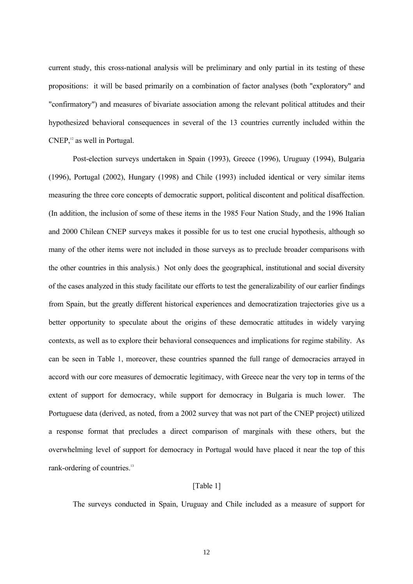current study, this cross-national analysis will be preliminary and only partial in its testing of these propositions: it will be based primarily on a combination of factor analyses (both "exploratory" and "confirmatory") and measures of bivariate association among the relevant political attitudes and their hypothesized behavioral consequences in several of the 13 countries currently included within the  $CNEP<sub>12</sub>$  as well in Portugal.

 Post-election surveys undertaken in Spain (1993), Greece (1996), Uruguay (1994), Bulgaria (1996), Portugal (2002), Hungary (1998) and Chile (1993) included identical or very similar items measuring the three core concepts of democratic support, political discontent and political disaffection. (In addition, the inclusion of some of these items in the 1985 Four Nation Study, and the 1996 Italian and 2000 Chilean CNEP surveys makes it possible for us to test one crucial hypothesis, although so many of the other items were not included in those surveys as to preclude broader comparisons with the other countries in this analysis.) Not only does the geographical, institutional and social diversity of the cases analyzed in this study facilitate our efforts to test the generalizability of our earlier findings from Spain, but the greatly different historical experiences and democratization trajectories give us a better opportunity to speculate about the origins of these democratic attitudes in widely varying contexts, as well as to explore their behavioral consequences and implications for regime stability. As can be seen in Table 1, moreover, these countries spanned the full range of democracies arrayed in accord with our core measures of democratic legitimacy, with Greece near the very top in terms of the extent of support for democracy, while support for democracy in Bulgaria is much lower. The Portuguese data (derived, as noted, from a 2002 survey that was not part of the CNEP project) utilized a response format that precludes a direct comparison of marginals with these others, but the overwhelming level of support for democracy in Portugal would have placed it near the top of this rank-ordering of countries.<sup>13</sup>

# [Table 1]

The surveys conducted in Spain, Uruguay and Chile included as a measure of support for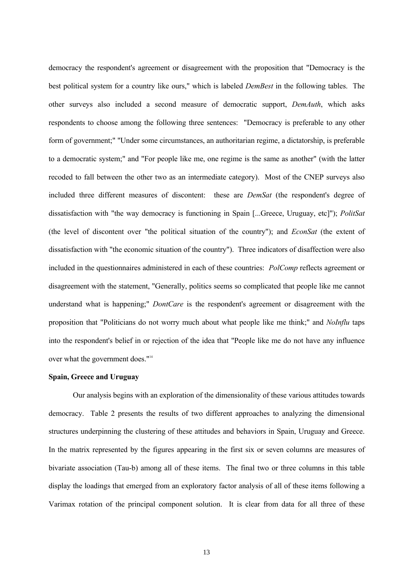democracy the respondent's agreement or disagreement with the proposition that "Democracy is the best political system for a country like ours," which is labeled *DemBest* in the following tables. The other surveys also included a second measure of democratic support, *DemAuth*, which asks respondents to choose among the following three sentences: "Democracy is preferable to any other form of government;" "Under some circumstances, an authoritarian regime, a dictatorship, is preferable to a democratic system;" and "For people like me, one regime is the same as another" (with the latter recoded to fall between the other two as an intermediate category). Most of the CNEP surveys also included three different measures of discontent: these are *DemSat* (the respondent's degree of dissatisfaction with "the way democracy is functioning in Spain [...Greece, Uruguay, etc]"); *PolitSat* (the level of discontent over "the political situation of the country"); and *EconSat* (the extent of dissatisfaction with "the economic situation of the country"). Three indicators of disaffection were also included in the questionnaires administered in each of these countries: *PolComp* reflects agreement or disagreement with the statement, "Generally, politics seems so complicated that people like me cannot understand what is happening;" *DontCare* is the respondent's agreement or disagreement with the proposition that "Politicians do not worry much about what people like me think;" and *NoInflu* taps into the respondent's belief in or rejection of the idea that "People like me do not have any influence over what the government does."<sup>14</sup>

#### **Spain, Greece and Uruguay**

 Our analysis begins with an exploration of the dimensionality of these various attitudes towards democracy. Table 2 presents the results of two different approaches to analyzing the dimensional structures underpinning the clustering of these attitudes and behaviors in Spain, Uruguay and Greece. In the matrix represented by the figures appearing in the first six or seven columns are measures of bivariate association (Tau-b) among all of these items. The final two or three columns in this table display the loadings that emerged from an exploratory factor analysis of all of these items following a Varimax rotation of the principal component solution. It is clear from data for all three of these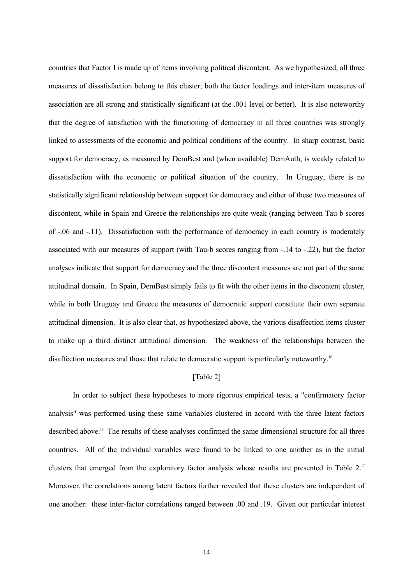countries that Factor I is made up of items involving political discontent. As we hypothesized, all three measures of dissatisfaction belong to this cluster; both the factor loadings and inter-item measures of association are all strong and statistically significant (at the .001 level or better). It is also noteworthy that the degree of satisfaction with the functioning of democracy in all three countries was strongly linked to assessments of the economic and political conditions of the country. In sharp contrast, basic support for democracy, as measured by DemBest and (when available) DemAuth, is weakly related to dissatisfaction with the economic or political situation of the country. In Uruguay, there is no statistically significant relationship between support for democracy and either of these two measures of discontent, while in Spain and Greece the relationships are quite weak (ranging between Tau-b scores of -.06 and -.11). Dissatisfaction with the performance of democracy in each country is moderately associated with our measures of support (with Tau-b scores ranging from -.14 to -.22), but the factor analyses indicate that support for democracy and the three discontent measures are not part of the same attitudinal domain. In Spain, DemBest simply fails to fit with the other items in the discontent cluster, while in both Uruguay and Greece the measures of democratic support constitute their own separate attitudinal dimension. It is also clear that, as hypothesized above, the various disaffection items cluster to make up a third distinct attitudinal dimension. The weakness of the relationships between the disaffection measures and those that relate to democratic support is particularly noteworthy.<sup>15</sup>

## [Table 2]

 In order to subject these hypotheses to more rigorous empirical tests, a "confirmatory factor analysis" was performed using these same variables clustered in accord with the three latent factors described above.<sup>16</sup> The results of these analyses confirmed the same dimensional structure for all three countries. All of the individual variables were found to be linked to one another as in the initial clusters that emerged from the exploratory factor analysis whose results are presented in Table 2.<sup>17</sup> Moreover, the correlations among latent factors further revealed that these clusters are independent of one another: these inter-factor correlations ranged between .00 and .19. Given our particular interest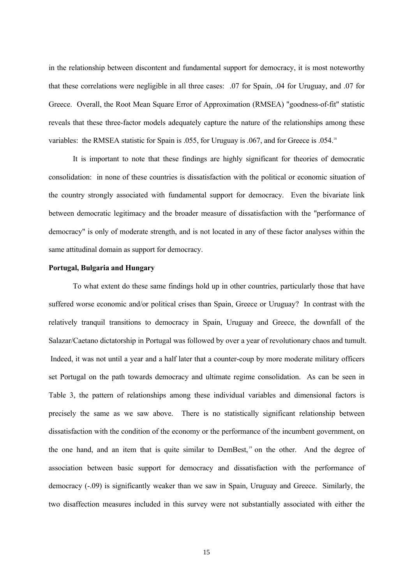in the relationship between discontent and fundamental support for democracy, it is most noteworthy that these correlations were negligible in all three cases: .07 for Spain, .04 for Uruguay, and .07 for Greece. Overall, the Root Mean Square Error of Approximation (RMSEA) "goodness-of-fit" statistic reveals that these three-factor models adequately capture the nature of the relationships among these variables: the RMSEA statistic for Spain is .055, for Uruguay is .067, and for Greece is .054.<sup>18</sup>

 It is important to note that these findings are highly significant for theories of democratic consolidation: in none of these countries is dissatisfaction with the political or economic situation of the country strongly associated with fundamental support for democracy. Even the bivariate link between democratic legitimacy and the broader measure of dissatisfaction with the "performance of democracy" is only of moderate strength, and is not located in any of these factor analyses within the same attitudinal domain as support for democracy.

## **Portugal, Bulgaria and Hungary**

 To what extent do these same findings hold up in other countries, particularly those that have suffered worse economic and/or political crises than Spain, Greece or Uruguay? In contrast with the relatively tranquil transitions to democracy in Spain, Uruguay and Greece, the downfall of the Salazar/Caetano dictatorship in Portugal was followed by over a year of revolutionary chaos and tumult. Indeed, it was not until a year and a half later that a counter-coup by more moderate military officers set Portugal on the path towards democracy and ultimate regime consolidation. As can be seen in Table 3, the pattern of relationships among these individual variables and dimensional factors is precisely the same as we saw above. There is no statistically significant relationship between dissatisfaction with the condition of the economy or the performance of the incumbent government, on the one hand, and an item that is quite similar to DemBest, <sup>19</sup> on the other. And the degree of association between basic support for democracy and dissatisfaction with the performance of democracy (-.09) is significantly weaker than we saw in Spain, Uruguay and Greece. Similarly, the two disaffection measures included in this survey were not substantially associated with either the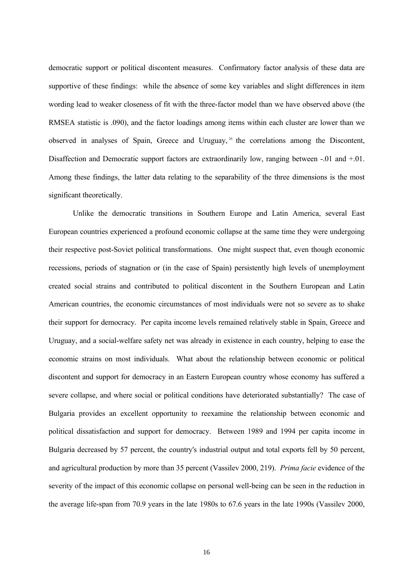democratic support or political discontent measures. Confirmatory factor analysis of these data are supportive of these findings: while the absence of some key variables and slight differences in item wording lead to weaker closeness of fit with the three-factor model than we have observed above (the RMSEA statistic is .090), and the factor loadings among items within each cluster are lower than we observed in analyses of Spain, Greece and Uruguay,  $20$  the correlations among the Discontent, Disaffection and Democratic support factors are extraordinarily low, ranging between -.01 and +.01. Among these findings, the latter data relating to the separability of the three dimensions is the most significant theoretically.

 Unlike the democratic transitions in Southern Europe and Latin America, several East European countries experienced a profound economic collapse at the same time they were undergoing their respective post-Soviet political transformations. One might suspect that, even though economic recessions, periods of stagnation or (in the case of Spain) persistently high levels of unemployment created social strains and contributed to political discontent in the Southern European and Latin American countries, the economic circumstances of most individuals were not so severe as to shake their support for democracy. Per capita income levels remained relatively stable in Spain, Greece and Uruguay, and a social-welfare safety net was already in existence in each country, helping to ease the economic strains on most individuals. What about the relationship between economic or political discontent and support for democracy in an Eastern European country whose economy has suffered a severe collapse, and where social or political conditions have deteriorated substantially? The case of Bulgaria provides an excellent opportunity to reexamine the relationship between economic and political dissatisfaction and support for democracy. Between 1989 and 1994 per capita income in Bulgaria decreased by 57 percent, the country's industrial output and total exports fell by 50 percent, and agricultural production by more than 35 percent (Vassilev 2000, 219). *Prima facie* evidence of the severity of the impact of this economic collapse on personal well-being can be seen in the reduction in the average life-span from 70.9 years in the late 1980s to 67.6 years in the late 1990s (Vassilev 2000,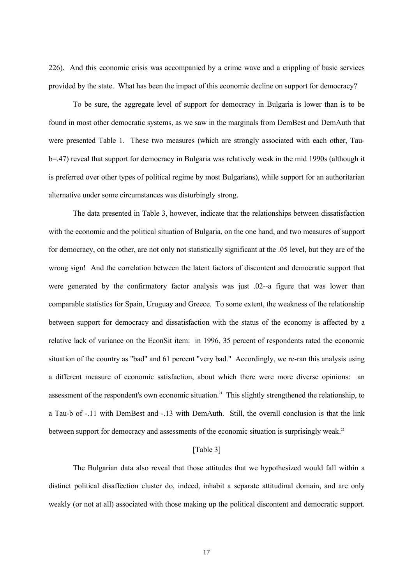226). And this economic crisis was accompanied by a crime wave and a crippling of basic services provided by the state. What has been the impact of this economic decline on support for democracy?

 To be sure, the aggregate level of support for democracy in Bulgaria is lower than is to be found in most other democratic systems, as we saw in the marginals from DemBest and DemAuth that were presented Table 1. These two measures (which are strongly associated with each other, Taub=.47) reveal that support for democracy in Bulgaria was relatively weak in the mid 1990s (although it is preferred over other types of political regime by most Bulgarians), while support for an authoritarian alternative under some circumstances was disturbingly strong.

 The data presented in Table 3, however, indicate that the relationships between dissatisfaction with the economic and the political situation of Bulgaria, on the one hand, and two measures of support for democracy, on the other, are not only not statistically significant at the .05 level, but they are of the wrong sign! And the correlation between the latent factors of discontent and democratic support that were generated by the confirmatory factor analysis was just .02--a figure that was lower than comparable statistics for Spain, Uruguay and Greece. To some extent, the weakness of the relationship between support for democracy and dissatisfaction with the status of the economy is affected by a relative lack of variance on the EconSit item: in 1996, 35 percent of respondents rated the economic situation of the country as "bad" and 61 percent "very bad." Accordingly, we re-ran this analysis using a different measure of economic satisfaction, about which there were more diverse opinions: an assessment of the respondent's own economic situation.<sup>21</sup> This slightly strengthened the relationship, to a Tau-b of -.11 with DemBest and -.13 with DemAuth. Still, the overall conclusion is that the link between support for democracy and assessments of the economic situation is surprisingly weak.<sup>22</sup>

## [Table 3]

 The Bulgarian data also reveal that those attitudes that we hypothesized would fall within a distinct political disaffection cluster do, indeed, inhabit a separate attitudinal domain, and are only weakly (or not at all) associated with those making up the political discontent and democratic support.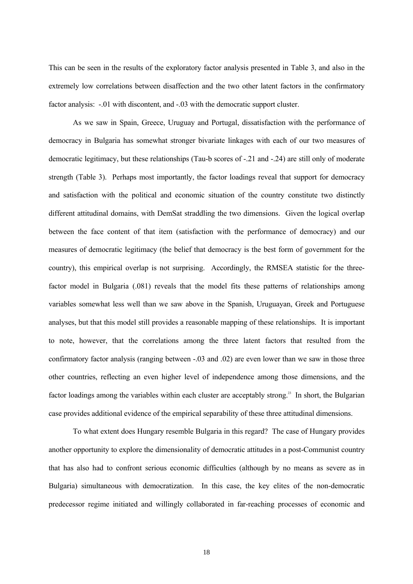This can be seen in the results of the exploratory factor analysis presented in Table 3, and also in the extremely low correlations between disaffection and the two other latent factors in the confirmatory factor analysis: -.01 with discontent, and -.03 with the democratic support cluster.

 As we saw in Spain, Greece, Uruguay and Portugal, dissatisfaction with the performance of democracy in Bulgaria has somewhat stronger bivariate linkages with each of our two measures of democratic legitimacy, but these relationships (Tau-b scores of -.21 and -.24) are still only of moderate strength (Table 3). Perhaps most importantly, the factor loadings reveal that support for democracy and satisfaction with the political and economic situation of the country constitute two distinctly different attitudinal domains, with DemSat straddling the two dimensions. Given the logical overlap between the face content of that item (satisfaction with the performance of democracy) and our measures of democratic legitimacy (the belief that democracy is the best form of government for the country), this empirical overlap is not surprising. Accordingly, the RMSEA statistic for the threefactor model in Bulgaria (.081) reveals that the model fits these patterns of relationships among variables somewhat less well than we saw above in the Spanish, Uruguayan, Greek and Portuguese analyses, but that this model still provides a reasonable mapping of these relationships. It is important to note, however, that the correlations among the three latent factors that resulted from the confirmatory factor analysis (ranging between -.03 and .02) are even lower than we saw in those three other countries, reflecting an even higher level of independence among those dimensions, and the factor loadings among the variables within each cluster are acceptably strong.<sup>23</sup> In short, the Bulgarian case provides additional evidence of the empirical separability of these three attitudinal dimensions.

 To what extent does Hungary resemble Bulgaria in this regard? The case of Hungary provides another opportunity to explore the dimensionality of democratic attitudes in a post-Communist country that has also had to confront serious economic difficulties (although by no means as severe as in Bulgaria) simultaneous with democratization. In this case, the key elites of the non-democratic predecessor regime initiated and willingly collaborated in far-reaching processes of economic and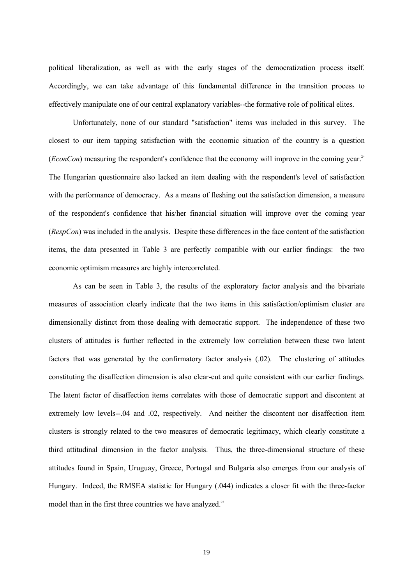political liberalization, as well as with the early stages of the democratization process itself. Accordingly, we can take advantage of this fundamental difference in the transition process to effectively manipulate one of our central explanatory variables--the formative role of political elites.

 Unfortunately, none of our standard "satisfaction" items was included in this survey. The closest to our item tapping satisfaction with the economic situation of the country is a question (*EconCon*) measuring the respondent's confidence that the economy will improve in the coming year.<sup>24</sup> The Hungarian questionnaire also lacked an item dealing with the respondent's level of satisfaction with the performance of democracy. As a means of fleshing out the satisfaction dimension, a measure of the respondent's confidence that his/her financial situation will improve over the coming year (*RespCon*) was included in the analysis. Despite these differences in the face content of the satisfaction items, the data presented in Table 3 are perfectly compatible with our earlier findings: the two economic optimism measures are highly intercorrelated.

 As can be seen in Table 3, the results of the exploratory factor analysis and the bivariate measures of association clearly indicate that the two items in this satisfaction/optimism cluster are dimensionally distinct from those dealing with democratic support. The independence of these two clusters of attitudes is further reflected in the extremely low correlation between these two latent factors that was generated by the confirmatory factor analysis (.02). The clustering of attitudes constituting the disaffection dimension is also clear-cut and quite consistent with our earlier findings. The latent factor of disaffection items correlates with those of democratic support and discontent at extremely low levels--.04 and .02, respectively. And neither the discontent nor disaffection item clusters is strongly related to the two measures of democratic legitimacy, which clearly constitute a third attitudinal dimension in the factor analysis. Thus, the three-dimensional structure of these attitudes found in Spain, Uruguay, Greece, Portugal and Bulgaria also emerges from our analysis of Hungary. Indeed, the RMSEA statistic for Hungary (.044) indicates a closer fit with the three-factor model than in the first three countries we have analyzed.<sup>25</sup>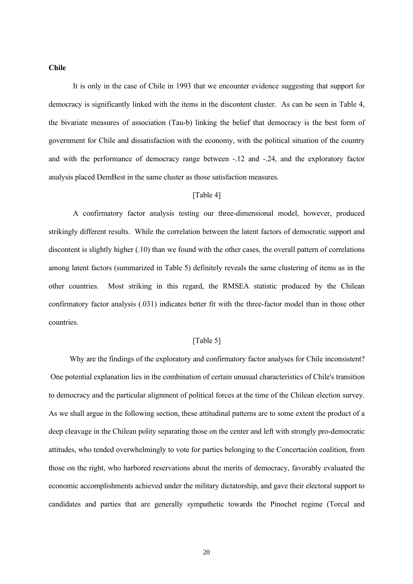## **Chile**

 It is only in the case of Chile in 1993 that we encounter evidence suggesting that support for democracy is significantly linked with the items in the discontent cluster. As can be seen in Table 4, the bivariate measures of association (Tau-b) linking the belief that democracy is the best form of government for Chile and dissatisfaction with the economy, with the political situation of the country and with the performance of democracy range between -.12 and -.24, and the exploratory factor analysis placed DemBest in the same cluster as those satisfaction measures.

# [Table 4]

 A confirmatory factor analysis testing our three-dimensional model, however, produced strikingly different results. While the correlation between the latent factors of democratic support and discontent is slightly higher (.10) than we found with the other cases, the overall pattern of correlations among latent factors (summarized in Table 5) definitely reveals the same clustering of items as in the other countries. Most striking in this regard, the RMSEA statistic produced by the Chilean confirmatory factor analysis (.031) indicates better fit with the three-factor model than in those other countries.

### [Table 5]

 Why are the findings of the exploratory and confirmatory factor analyses for Chile inconsistent? One potential explanation lies in the combination of certain unusual characteristics of Chile's transition to democracy and the particular alignment of political forces at the time of the Chilean election survey. As we shall argue in the following section, these attitudinal patterns are to some extent the product of a deep cleavage in the Chilean polity separating those on the center and left with strongly pro-democratic attitudes, who tended overwhelmingly to vote for parties belonging to the Concertación coalition, from those on the right, who harbored reservations about the merits of democracy, favorably evaluated the economic accomplishments achieved under the military dictatorship, and gave their electoral support to candidates and parties that are generally sympathetic towards the Pinochet regime (Torcal and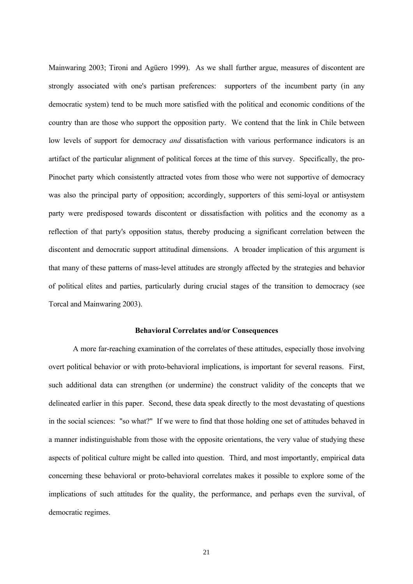Mainwaring 2003; Tironi and Agüero 1999). As we shall further argue, measures of discontent are strongly associated with one's partisan preferences: supporters of the incumbent party (in any democratic system) tend to be much more satisfied with the political and economic conditions of the country than are those who support the opposition party. We contend that the link in Chile between low levels of support for democracy *and* dissatisfaction with various performance indicators is an artifact of the particular alignment of political forces at the time of this survey. Specifically, the pro-Pinochet party which consistently attracted votes from those who were not supportive of democracy was also the principal party of opposition; accordingly, supporters of this semi-loyal or antisystem party were predisposed towards discontent or dissatisfaction with politics and the economy as a reflection of that party's opposition status, thereby producing a significant correlation between the discontent and democratic support attitudinal dimensions. A broader implication of this argument is that many of these patterns of mass-level attitudes are strongly affected by the strategies and behavior of political elites and parties, particularly during crucial stages of the transition to democracy (see Torcal and Mainwaring 2003).

# **Behavioral Correlates and/or Consequences**

 A more far-reaching examination of the correlates of these attitudes, especially those involving overt political behavior or with proto-behavioral implications, is important for several reasons. First, such additional data can strengthen (or undermine) the construct validity of the concepts that we delineated earlier in this paper. Second, these data speak directly to the most devastating of questions in the social sciences: "so what?" If we were to find that those holding one set of attitudes behaved in a manner indistinguishable from those with the opposite orientations, the very value of studying these aspects of political culture might be called into question. Third, and most importantly, empirical data concerning these behavioral or proto-behavioral correlates makes it possible to explore some of the implications of such attitudes for the quality, the performance, and perhaps even the survival, of democratic regimes.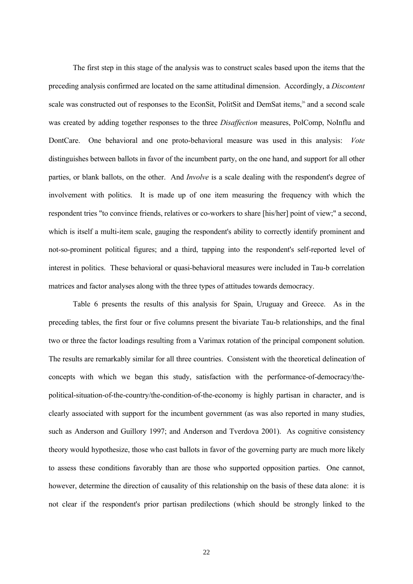The first step in this stage of the analysis was to construct scales based upon the items that the preceding analysis confirmed are located on the same attitudinal dimension. Accordingly, a *Discontent* scale was constructed out of responses to the EconSit, PolitSit and DemSat items,<sup>26</sup> and a second scale was created by adding together responses to the three *Disaffection* measures, PolComp, NoInflu and DontCare. One behavioral and one proto-behavioral measure was used in this analysis: *Vote* distinguishes between ballots in favor of the incumbent party, on the one hand, and support for all other parties, or blank ballots, on the other. And *Involve* is a scale dealing with the respondent's degree of involvement with politics. It is made up of one item measuring the frequency with which the respondent tries "to convince friends, relatives or co-workers to share [his/her] point of view;" a second, which is itself a multi-item scale, gauging the respondent's ability to correctly identify prominent and not-so-prominent political figures; and a third, tapping into the respondent's self-reported level of interest in politics. These behavioral or quasi-behavioral measures were included in Tau-b correlation matrices and factor analyses along with the three types of attitudes towards democracy.

 Table 6 presents the results of this analysis for Spain, Uruguay and Greece. As in the preceding tables, the first four or five columns present the bivariate Tau-b relationships, and the final two or three the factor loadings resulting from a Varimax rotation of the principal component solution. The results are remarkably similar for all three countries. Consistent with the theoretical delineation of concepts with which we began this study, satisfaction with the performance-of-democracy/thepolitical-situation-of-the-country/the-condition-of-the-economy is highly partisan in character, and is clearly associated with support for the incumbent government (as was also reported in many studies, such as Anderson and Guillory 1997; and Anderson and Tverdova 2001). As cognitive consistency theory would hypothesize, those who cast ballots in favor of the governing party are much more likely to assess these conditions favorably than are those who supported opposition parties. One cannot, however, determine the direction of causality of this relationship on the basis of these data alone: it is not clear if the respondent's prior partisan predilections (which should be strongly linked to the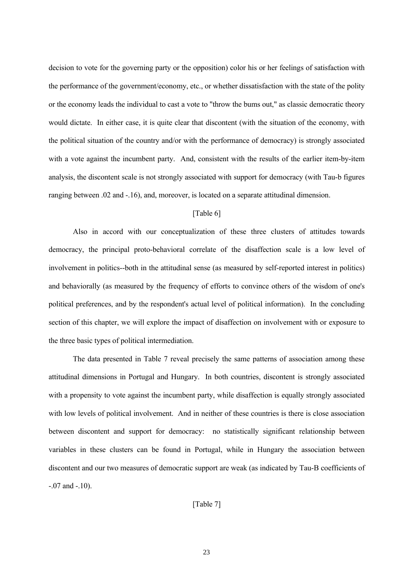decision to vote for the governing party or the opposition) color his or her feelings of satisfaction with the performance of the government/economy, etc., or whether dissatisfaction with the state of the polity or the economy leads the individual to cast a vote to "throw the bums out," as classic democratic theory would dictate. In either case, it is quite clear that discontent (with the situation of the economy, with the political situation of the country and/or with the performance of democracy) is strongly associated with a vote against the incumbent party. And, consistent with the results of the earlier item-by-item analysis, the discontent scale is not strongly associated with support for democracy (with Tau-b figures ranging between .02 and -.16), and, moreover, is located on a separate attitudinal dimension.

# [Table 6]

 Also in accord with our conceptualization of these three clusters of attitudes towards democracy, the principal proto-behavioral correlate of the disaffection scale is a low level of involvement in politics--both in the attitudinal sense (as measured by self-reported interest in politics) and behaviorally (as measured by the frequency of efforts to convince others of the wisdom of one's political preferences, and by the respondent's actual level of political information). In the concluding section of this chapter, we will explore the impact of disaffection on involvement with or exposure to the three basic types of political intermediation.

 The data presented in Table 7 reveal precisely the same patterns of association among these attitudinal dimensions in Portugal and Hungary. In both countries, discontent is strongly associated with a propensity to vote against the incumbent party, while disaffection is equally strongly associated with low levels of political involvement. And in neither of these countries is there is close association between discontent and support for democracy: no statistically significant relationship between variables in these clusters can be found in Portugal, while in Hungary the association between discontent and our two measures of democratic support are weak (as indicated by Tau-B coefficients of  $-.07$  and  $-.10$ ).

[Table 7]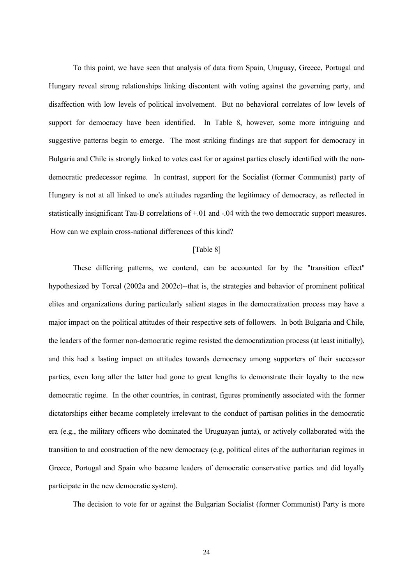To this point, we have seen that analysis of data from Spain, Uruguay, Greece, Portugal and Hungary reveal strong relationships linking discontent with voting against the governing party, and disaffection with low levels of political involvement. But no behavioral correlates of low levels of support for democracy have been identified. In Table 8, however, some more intriguing and suggestive patterns begin to emerge. The most striking findings are that support for democracy in Bulgaria and Chile is strongly linked to votes cast for or against parties closely identified with the nondemocratic predecessor regime. In contrast, support for the Socialist (former Communist) party of Hungary is not at all linked to one's attitudes regarding the legitimacy of democracy, as reflected in statistically insignificant Tau-B correlations of +.01 and -.04 with the two democratic support measures. How can we explain cross-national differences of this kind?

# [Table 8]

 These differing patterns, we contend, can be accounted for by the "transition effect" hypothesized by Torcal (2002a and 2002c)--that is, the strategies and behavior of prominent political elites and organizations during particularly salient stages in the democratization process may have a major impact on the political attitudes of their respective sets of followers. In both Bulgaria and Chile, the leaders of the former non-democratic regime resisted the democratization process (at least initially), and this had a lasting impact on attitudes towards democracy among supporters of their successor parties, even long after the latter had gone to great lengths to demonstrate their loyalty to the new democratic regime. In the other countries, in contrast, figures prominently associated with the former dictatorships either became completely irrelevant to the conduct of partisan politics in the democratic era (e.g., the military officers who dominated the Uruguayan junta), or actively collaborated with the transition to and construction of the new democracy (e.g, political elites of the authoritarian regimes in Greece, Portugal and Spain who became leaders of democratic conservative parties and did loyally participate in the new democratic system).

The decision to vote for or against the Bulgarian Socialist (former Communist) Party is more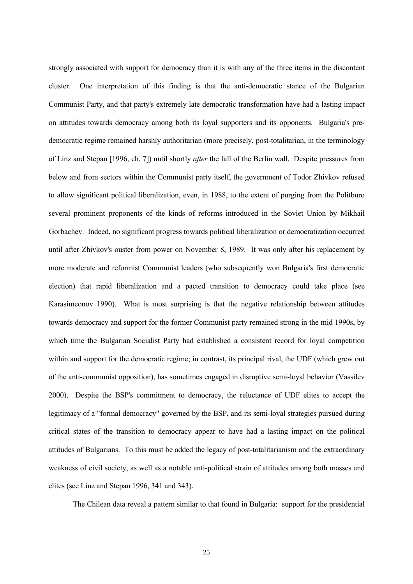strongly associated with support for democracy than it is with any of the three items in the discontent cluster. One interpretation of this finding is that the anti-democratic stance of the Bulgarian Communist Party, and that party's extremely late democratic transformation have had a lasting impact on attitudes towards democracy among both its loyal supporters and its opponents. Bulgaria's predemocratic regime remained harshly authoritarian (more precisely, post-totalitarian, in the terminology of Linz and Stepan [1996, ch. 7]) until shortly *after* the fall of the Berlin wall. Despite pressures from below and from sectors within the Communist party itself, the government of Todor Zhivkov refused to allow significant political liberalization, even, in 1988, to the extent of purging from the Politburo several prominent proponents of the kinds of reforms introduced in the Soviet Union by Mikhail Gorbachev. Indeed, no significant progress towards political liberalization or democratization occurred until after Zhivkov's ouster from power on November 8, 1989. It was only after his replacement by more moderate and reformist Communist leaders (who subsequently won Bulgaria's first democratic election) that rapid liberalization and a pacted transition to democracy could take place (see Karasimeonov 1990). What is most surprising is that the negative relationship between attitudes towards democracy and support for the former Communist party remained strong in the mid 1990s, by which time the Bulgarian Socialist Party had established a consistent record for loyal competition within and support for the democratic regime; in contrast, its principal rival, the UDF (which grew out of the anti-communist opposition), has sometimes engaged in disruptive semi-loyal behavior (Vassilev 2000). Despite the BSP's commitment to democracy, the reluctance of UDF elites to accept the legitimacy of a "formal democracy" governed by the BSP, and its semi-loyal strategies pursued during critical states of the transition to democracy appear to have had a lasting impact on the political attitudes of Bulgarians. To this must be added the legacy of post-totalitarianism and the extraordinary weakness of civil society, as well as a notable anti-political strain of attitudes among both masses and elites (see Linz and Stepan 1996, 341 and 343).

The Chilean data reveal a pattern similar to that found in Bulgaria: support for the presidential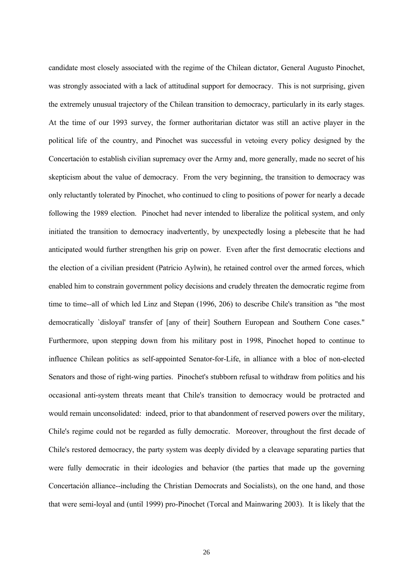candidate most closely associated with the regime of the Chilean dictator, General Augusto Pinochet, was strongly associated with a lack of attitudinal support for democracy. This is not surprising, given the extremely unusual trajectory of the Chilean transition to democracy, particularly in its early stages. At the time of our 1993 survey, the former authoritarian dictator was still an active player in the political life of the country, and Pinochet was successful in vetoing every policy designed by the Concertación to establish civilian supremacy over the Army and, more generally, made no secret of his skepticism about the value of democracy. From the very beginning, the transition to democracy was only reluctantly tolerated by Pinochet, who continued to cling to positions of power for nearly a decade following the 1989 election. Pinochet had never intended to liberalize the political system, and only initiated the transition to democracy inadvertently, by unexpectedly losing a plebescite that he had anticipated would further strengthen his grip on power. Even after the first democratic elections and the election of a civilian president (Patricio Aylwin), he retained control over the armed forces, which enabled him to constrain government policy decisions and crudely threaten the democratic regime from time to time--all of which led Linz and Stepan (1996, 206) to describe Chile's transition as "the most democratically `disloyal' transfer of [any of their] Southern European and Southern Cone cases." Furthermore, upon stepping down from his military post in 1998, Pinochet hoped to continue to influence Chilean politics as self-appointed Senator-for-Life, in alliance with a bloc of non-elected Senators and those of right-wing parties. Pinochet's stubborn refusal to withdraw from politics and his occasional anti-system threats meant that Chile's transition to democracy would be protracted and would remain unconsolidated: indeed, prior to that abandonment of reserved powers over the military, Chile's regime could not be regarded as fully democratic. Moreover, throughout the first decade of Chile's restored democracy, the party system was deeply divided by a cleavage separating parties that were fully democratic in their ideologies and behavior (the parties that made up the governing Concertación alliance--including the Christian Democrats and Socialists), on the one hand, and those that were semi-loyal and (until 1999) pro-Pinochet (Torcal and Mainwaring 2003). It is likely that the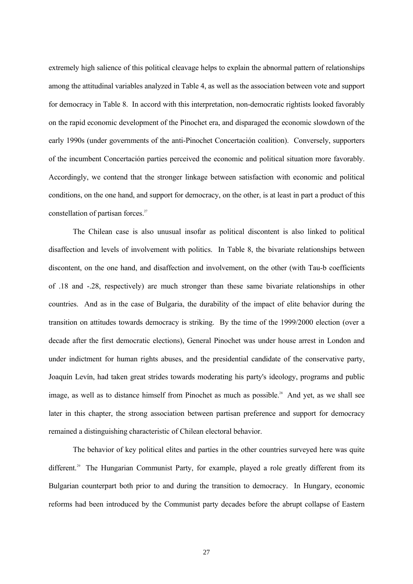extremely high salience of this political cleavage helps to explain the abnormal pattern of relationships among the attitudinal variables analyzed in Table 4, as well as the association between vote and support for democracy in Table 8. In accord with this interpretation, non-democratic rightists looked favorably on the rapid economic development of the Pinochet era, and disparaged the economic slowdown of the early 1990s (under governments of the anti-Pinochet Concertación coalition). Conversely, supporters of the incumbent Concertación parties perceived the economic and political situation more favorably. Accordingly, we contend that the stronger linkage between satisfaction with economic and political conditions, on the one hand, and support for democracy, on the other, is at least in part a product of this constellation of partisan forces.<sup>27</sup>

 The Chilean case is also unusual insofar as political discontent is also linked to political disaffection and levels of involvement with politics. In Table 8, the bivariate relationships between discontent, on the one hand, and disaffection and involvement, on the other (with Tau-b coefficients of .18 and -.28, respectively) are much stronger than these same bivariate relationships in other countries. And as in the case of Bulgaria, the durability of the impact of elite behavior during the transition on attitudes towards democracy is striking. By the time of the 1999/2000 election (over a decade after the first democratic elections), General Pinochet was under house arrest in London and under indictment for human rights abuses, and the presidential candidate of the conservative party, Joaquín Levín, had taken great strides towards moderating his party's ideology, programs and public image, as well as to distance himself from Pinochet as much as possible.<sup>28</sup> And yet, as we shall see later in this chapter, the strong association between partisan preference and support for democracy remained a distinguishing characteristic of Chilean electoral behavior.

 The behavior of key political elites and parties in the other countries surveyed here was quite different.<sup>29</sup> The Hungarian Communist Party, for example, played a role greatly different from its Bulgarian counterpart both prior to and during the transition to democracy. In Hungary, economic reforms had been introduced by the Communist party decades before the abrupt collapse of Eastern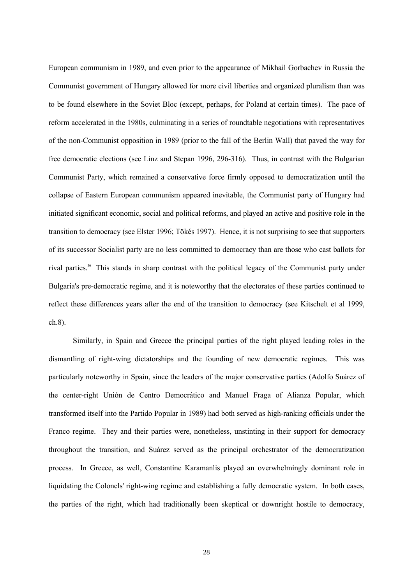European communism in 1989, and even prior to the appearance of Mikhail Gorbachev in Russia the Communist government of Hungary allowed for more civil liberties and organized pluralism than was to be found elsewhere in the Soviet Bloc (except, perhaps, for Poland at certain times). The pace of reform accelerated in the 1980s, culminating in a series of roundtable negotiations with representatives of the non-Communist opposition in 1989 (prior to the fall of the Berlin Wall) that paved the way for free democratic elections (see Linz and Stepan 1996, 296-316). Thus, in contrast with the Bulgarian Communist Party, which remained a conservative force firmly opposed to democratization until the collapse of Eastern European communism appeared inevitable, the Communist party of Hungary had initiated significant economic, social and political reforms, and played an active and positive role in the transition to democracy (see Elster 1996; Tökés 1997). Hence, it is not surprising to see that supporters of its successor Socialist party are no less committed to democracy than are those who cast ballots for rival parties.<sup>30</sup> This stands in sharp contrast with the political legacy of the Communist party under Bulgaria's pre-democratic regime, and it is noteworthy that the electorates of these parties continued to reflect these differences years after the end of the transition to democracy (see Kitschelt et al 1999, ch.8).

 Similarly, in Spain and Greece the principal parties of the right played leading roles in the dismantling of right-wing dictatorships and the founding of new democratic regimes. This was particularly noteworthy in Spain, since the leaders of the major conservative parties (Adolfo Suárez of the center-right Unión de Centro Democrático and Manuel Fraga of Alianza Popular, which transformed itself into the Partido Popular in 1989) had both served as high-ranking officials under the Franco regime. They and their parties were, nonetheless, unstinting in their support for democracy throughout the transition, and Suárez served as the principal orchestrator of the democratization process. In Greece, as well, Constantine Karamanlis played an overwhelmingly dominant role in liquidating the Colonels' right-wing regime and establishing a fully democratic system. In both cases, the parties of the right, which had traditionally been skeptical or downright hostile to democracy,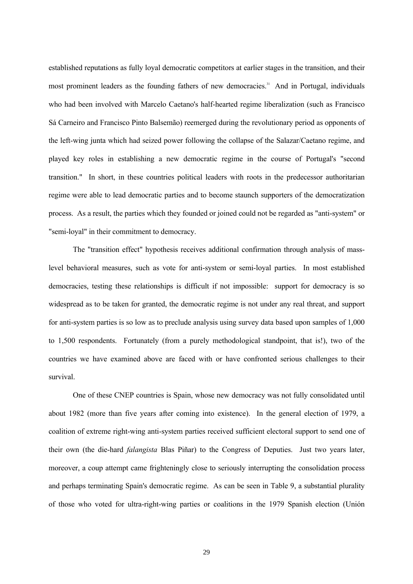established reputations as fully loyal democratic competitors at earlier stages in the transition, and their most prominent leaders as the founding fathers of new democracies.<sup>31</sup> And in Portugal, individuals who had been involved with Marcelo Caetano's half-hearted regime liberalization (such as Francisco Sá Carneiro and Francisco Pinto Balsemão) reemerged during the revolutionary period as opponents of the left-wing junta which had seized power following the collapse of the Salazar/Caetano regime, and played key roles in establishing a new democratic regime in the course of Portugal's "second transition." In short, in these countries political leaders with roots in the predecessor authoritarian regime were able to lead democratic parties and to become staunch supporters of the democratization process. As a result, the parties which they founded or joined could not be regarded as "anti-system" or "semi-loyal" in their commitment to democracy.

 The "transition effect" hypothesis receives additional confirmation through analysis of masslevel behavioral measures, such as vote for anti-system or semi-loyal parties. In most established democracies, testing these relationships is difficult if not impossible: support for democracy is so widespread as to be taken for granted, the democratic regime is not under any real threat, and support for anti-system parties is so low as to preclude analysis using survey data based upon samples of 1,000 to 1,500 respondents. Fortunately (from a purely methodological standpoint, that is!), two of the countries we have examined above are faced with or have confronted serious challenges to their survival.

 One of these CNEP countries is Spain, whose new democracy was not fully consolidated until about 1982 (more than five years after coming into existence). In the general election of 1979, a coalition of extreme right-wing anti-system parties received sufficient electoral support to send one of their own (the die-hard *falangista* Blas Piñar) to the Congress of Deputies. Just two years later, moreover, a coup attempt came frighteningly close to seriously interrupting the consolidation process and perhaps terminating Spain's democratic regime. As can be seen in Table 9, a substantial plurality of those who voted for ultra-right-wing parties or coalitions in the 1979 Spanish election (Unión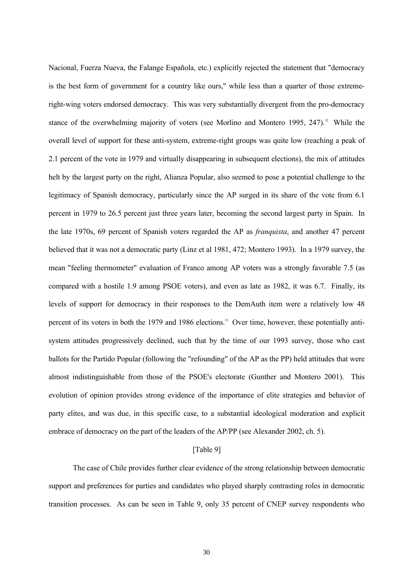Nacional, Fuerza Nueva, the Falange Española, etc.) explicitly rejected the statement that "democracy is the best form of government for a country like ours," while less than a quarter of those extremeright-wing voters endorsed democracy. This was very substantially divergent from the pro-democracy stance of the overwhelming majority of voters (see Morlino and Montero 1995, 247).<sup>32</sup> While the overall level of support for these anti-system, extreme-right groups was quite low (reaching a peak of 2.1 percent of the vote in 1979 and virtually disappearing in subsequent elections), the mix of attitudes helt by the largest party on the right, Alianza Popular, also seemed to pose a potential challenge to the legitimacy of Spanish democracy, particularly since the AP surged in its share of the vote from 6.1 percent in 1979 to 26.5 percent just three years later, becoming the second largest party in Spain. In the late 1970s, 69 percent of Spanish voters regarded the AP as *franquista*, and another 47 percent believed that it was not a democratic party (Linz et al 1981, 472; Montero 1993). In a 1979 survey, the mean "feeling thermometer" evaluation of Franco among AP voters was a strongly favorable 7.5 (as compared with a hostile 1.9 among PSOE voters), and even as late as 1982, it was 6.7. Finally, its levels of support for democracy in their responses to the DemAuth item were a relatively low 48 percent of its voters in both the 1979 and 1986 elections.<sup>33</sup> Over time, however, these potentially antisystem attitudes progressively declined, such that by the time of our 1993 survey, those who cast ballots for the Partido Popular (following the "refounding" of the AP as the PP) held attitudes that were almost indistinguishable from those of the PSOE's electorate (Gunther and Montero 2001). This evolution of opinion provides strong evidence of the importance of elite strategies and behavior of party elites, and was due, in this specific case, to a substantial ideological moderation and explicit embrace of democracy on the part of the leaders of the AP/PP (see Alexander 2002, ch. 5).

## [Table 9]

 The case of Chile provides further clear evidence of the strong relationship between democratic support and preferences for parties and candidates who played sharply contrasting roles in democratic transition processes. As can be seen in Table 9, only 35 percent of CNEP survey respondents who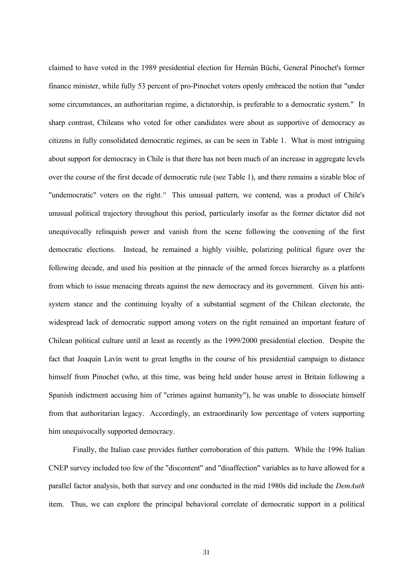claimed to have voted in the 1989 presidential election for Hernán Büchi, General Pinochet's former finance minister, while fully 53 percent of pro-Pinochet voters openly embraced the notion that "under some circumstances, an authoritarian regime, a dictatorship, is preferable to a democratic system." In sharp contrast, Chileans who voted for other candidates were about as supportive of democracy as citizens in fully consolidated democratic regimes, as can be seen in Table 1. What is most intriguing about support for democracy in Chile is that there has not been much of an increase in aggregate levels over the course of the first decade of democratic rule (see Table 1), and there remains a sizable bloc of "undemocratic" voters on the right.<sup>34</sup> This unusual pattern, we contend, was a product of Chile's unusual political trajectory throughout this period, particularly insofar as the former dictator did not unequivocally relinquish power and vanish from the scene following the convening of the first democratic elections. Instead, he remained a highly visible, polarizing political figure over the following decade, and used his position at the pinnacle of the armed forces hierarchy as a platform from which to issue menacing threats against the new democracy and its government. Given his antisystem stance and the continuing loyalty of a substantial segment of the Chilean electorate, the widespread lack of democratic support among voters on the right remained an important feature of Chilean political culture until at least as recently as the 1999/2000 presidential election. Despite the fact that Joaquín Lavín went to great lengths in the course of his presidential campaign to distance himself from Pinochet (who, at this time, was being held under house arrest in Britain following a Spanish indictment accusing him of "crimes against humanity"), he was unable to dissociate himself from that authoritarian legacy. Accordingly, an extraordinarily low percentage of voters supporting him unequivocally supported democracy.

 Finally, the Italian case provides further corroboration of this pattern. While the 1996 Italian CNEP survey included too few of the "discontent" and "disaffection" variables as to have allowed for a parallel factor analysis, both that survey and one conducted in the mid 1980s did include the *DemAuth* item. Thus, we can explore the principal behavioral correlate of democratic support in a political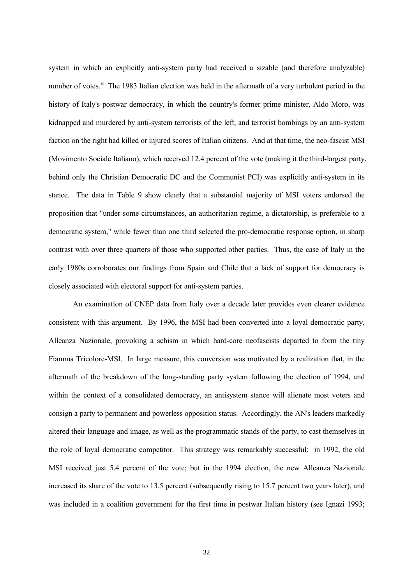system in which an explicitly anti-system party had received a sizable (and therefore analyzable) number of votes.<sup>35</sup> The 1983 Italian election was held in the aftermath of a very turbulent period in the history of Italy's postwar democracy, in which the country's former prime minister, Aldo Moro, was kidnapped and murdered by anti-system terrorists of the left, and terrorist bombings by an anti-system faction on the right had killed or injured scores of Italian citizens. And at that time, the neo-fascist MSI (Movimento Sociale Italiano), which received 12.4 percent of the vote (making it the third-largest party, behind only the Christian Democratic DC and the Communist PCI) was explicitly anti-system in its stance. The data in Table 9 show clearly that a substantial majority of MSI voters endorsed the proposition that "under some circumstances, an authoritarian regime, a dictatorship, is preferable to a democratic system," while fewer than one third selected the pro-democratic response option, in sharp contrast with over three quarters of those who supported other parties. Thus, the case of Italy in the early 1980s corroborates our findings from Spain and Chile that a lack of support for democracy is closely associated with electoral support for anti-system parties.

 An examination of CNEP data from Italy over a decade later provides even clearer evidence consistent with this argument. By 1996, the MSI had been converted into a loyal democratic party, Alleanza Nazionale, provoking a schism in which hard-core neofascists departed to form the tiny Fiamma Tricolore-MSI. In large measure, this conversion was motivated by a realization that, in the aftermath of the breakdown of the long-standing party system following the election of 1994, and within the context of a consolidated democracy, an antisystem stance will alienate most voters and consign a party to permanent and powerless opposition status. Accordingly, the AN's leaders markedly altered their language and image, as well as the programmatic stands of the party, to cast themselves in the role of loyal democratic competitor. This strategy was remarkably successful: in 1992, the old MSI received just 5.4 percent of the vote; but in the 1994 election, the new Alleanza Nazionale increased its share of the vote to 13.5 percent (subsequently rising to 15.7 percent two years later), and was included in a coalition government for the first time in postwar Italian history (see Ignazi 1993;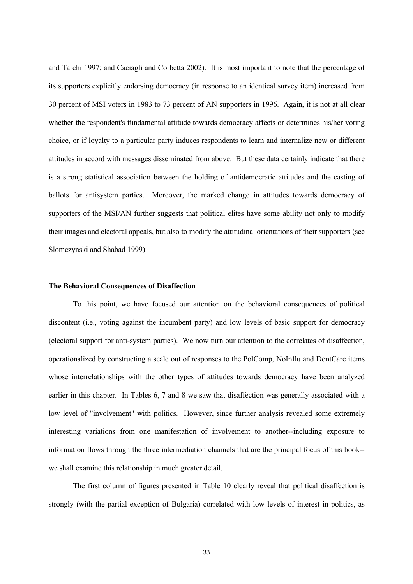and Tarchi 1997; and Caciagli and Corbetta 2002). It is most important to note that the percentage of its supporters explicitly endorsing democracy (in response to an identical survey item) increased from 30 percent of MSI voters in 1983 to 73 percent of AN supporters in 1996. Again, it is not at all clear whether the respondent's fundamental attitude towards democracy affects or determines his/her voting choice, or if loyalty to a particular party induces respondents to learn and internalize new or different attitudes in accord with messages disseminated from above. But these data certainly indicate that there is a strong statistical association between the holding of antidemocratic attitudes and the casting of ballots for antisystem parties. Moreover, the marked change in attitudes towards democracy of supporters of the MSI/AN further suggests that political elites have some ability not only to modify their images and electoral appeals, but also to modify the attitudinal orientations of their supporters (see Slomczynski and Shabad 1999).

### **The Behavioral Consequences of Disaffection**

 To this point, we have focused our attention on the behavioral consequences of political discontent (i.e., voting against the incumbent party) and low levels of basic support for democracy (electoral support for anti-system parties). We now turn our attention to the correlates of disaffection, operationalized by constructing a scale out of responses to the PolComp, NoInflu and DontCare items whose interrelationships with the other types of attitudes towards democracy have been analyzed earlier in this chapter. In Tables 6, 7 and 8 we saw that disaffection was generally associated with a low level of "involvement" with politics. However, since further analysis revealed some extremely interesting variations from one manifestation of involvement to another--including exposure to information flows through the three intermediation channels that are the principal focus of this book- we shall examine this relationship in much greater detail.

 The first column of figures presented in Table 10 clearly reveal that political disaffection is strongly (with the partial exception of Bulgaria) correlated with low levels of interest in politics, as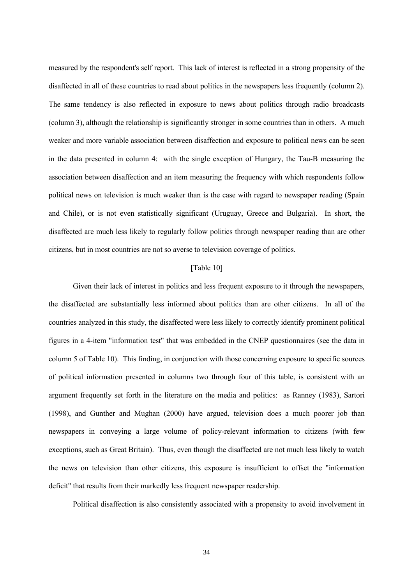measured by the respondent's self report. This lack of interest is reflected in a strong propensity of the disaffected in all of these countries to read about politics in the newspapers less frequently (column 2). The same tendency is also reflected in exposure to news about politics through radio broadcasts (column 3), although the relationship is significantly stronger in some countries than in others. A much weaker and more variable association between disaffection and exposure to political news can be seen in the data presented in column 4: with the single exception of Hungary, the Tau-B measuring the association between disaffection and an item measuring the frequency with which respondents follow political news on television is much weaker than is the case with regard to newspaper reading (Spain and Chile), or is not even statistically significant (Uruguay, Greece and Bulgaria). In short, the disaffected are much less likely to regularly follow politics through newspaper reading than are other citizens, but in most countries are not so averse to television coverage of politics.

# [Table 10]

 Given their lack of interest in politics and less frequent exposure to it through the newspapers, the disaffected are substantially less informed about politics than are other citizens. In all of the countries analyzed in this study, the disaffected were less likely to correctly identify prominent political figures in a 4-item "information test" that was embedded in the CNEP questionnaires (see the data in column 5 of Table 10). This finding, in conjunction with those concerning exposure to specific sources of political information presented in columns two through four of this table, is consistent with an argument frequently set forth in the literature on the media and politics: as Ranney (1983), Sartori (1998), and Gunther and Mughan (2000) have argued, television does a much poorer job than newspapers in conveying a large volume of policy-relevant information to citizens (with few exceptions, such as Great Britain). Thus, even though the disaffected are not much less likely to watch the news on television than other citizens, this exposure is insufficient to offset the "information deficit" that results from their markedly less frequent newspaper readership.

Political disaffection is also consistently associated with a propensity to avoid involvement in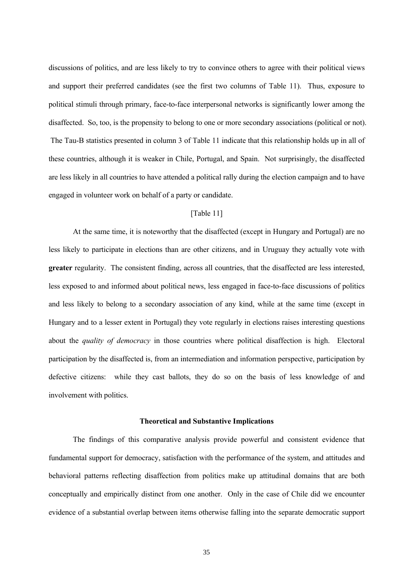discussions of politics, and are less likely to try to convince others to agree with their political views and support their preferred candidates (see the first two columns of Table 11). Thus, exposure to political stimuli through primary, face-to-face interpersonal networks is significantly lower among the disaffected. So, too, is the propensity to belong to one or more secondary associations (political or not). The Tau-B statistics presented in column 3 of Table 11 indicate that this relationship holds up in all of these countries, although it is weaker in Chile, Portugal, and Spain. Not surprisingly, the disaffected are less likely in all countries to have attended a political rally during the election campaign and to have engaged in volunteer work on behalf of a party or candidate.

#### [Table 11]

 At the same time, it is noteworthy that the disaffected (except in Hungary and Portugal) are no less likely to participate in elections than are other citizens, and in Uruguay they actually vote with **greater** regularity. The consistent finding, across all countries, that the disaffected are less interested, less exposed to and informed about political news, less engaged in face-to-face discussions of politics and less likely to belong to a secondary association of any kind, while at the same time (except in Hungary and to a lesser extent in Portugal) they vote regularly in elections raises interesting questions about the *quality of democracy* in those countries where political disaffection is high. Electoral participation by the disaffected is, from an intermediation and information perspective, participation by defective citizens: while they cast ballots, they do so on the basis of less knowledge of and involvement with politics.

#### **Theoretical and Substantive Implications**

 The findings of this comparative analysis provide powerful and consistent evidence that fundamental support for democracy, satisfaction with the performance of the system, and attitudes and behavioral patterns reflecting disaffection from politics make up attitudinal domains that are both conceptually and empirically distinct from one another. Only in the case of Chile did we encounter evidence of a substantial overlap between items otherwise falling into the separate democratic support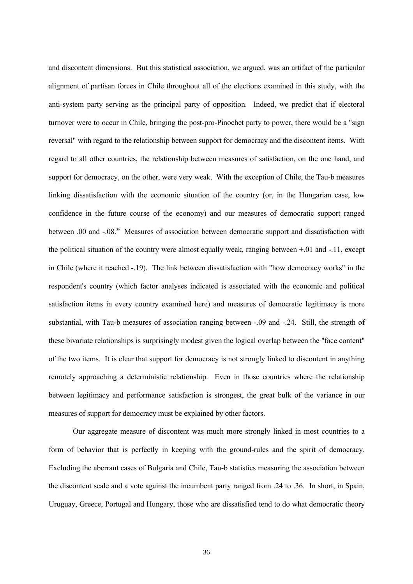and discontent dimensions. But this statistical association, we argued, was an artifact of the particular alignment of partisan forces in Chile throughout all of the elections examined in this study, with the anti-system party serving as the principal party of opposition. Indeed, we predict that if electoral turnover were to occur in Chile, bringing the post-pro-Pinochet party to power, there would be a "sign reversal" with regard to the relationship between support for democracy and the discontent items. With regard to all other countries, the relationship between measures of satisfaction, on the one hand, and support for democracy, on the other, were very weak. With the exception of Chile, the Tau-b measures linking dissatisfaction with the economic situation of the country (or, in the Hungarian case, low confidence in the future course of the economy) and our measures of democratic support ranged between .00 and -.08.<sup>36</sup> Measures of association between democratic support and dissatisfaction with the political situation of the country were almost equally weak, ranging between +.01 and -.11, except in Chile (where it reached -.19). The link between dissatisfaction with "how democracy works" in the respondent's country (which factor analyses indicated is associated with the economic and political satisfaction items in every country examined here) and measures of democratic legitimacy is more substantial, with Tau-b measures of association ranging between -.09 and -.24. Still, the strength of these bivariate relationships is surprisingly modest given the logical overlap between the "face content" of the two items. It is clear that support for democracy is not strongly linked to discontent in anything remotely approaching a deterministic relationship. Even in those countries where the relationship between legitimacy and performance satisfaction is strongest, the great bulk of the variance in our measures of support for democracy must be explained by other factors.

 Our aggregate measure of discontent was much more strongly linked in most countries to a form of behavior that is perfectly in keeping with the ground-rules and the spirit of democracy. Excluding the aberrant cases of Bulgaria and Chile, Tau-b statistics measuring the association between the discontent scale and a vote against the incumbent party ranged from .24 to .36. In short, in Spain, Uruguay, Greece, Portugal and Hungary, those who are dissatisfied tend to do what democratic theory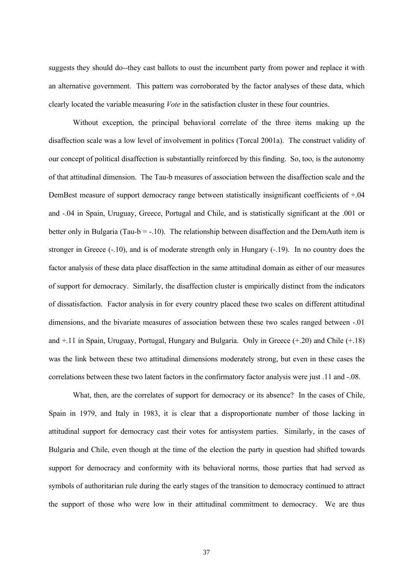suggests they should do--they cast ballots to oust the incumbent party from power and replace it with an alternative government. This pattern was corroborated by the factor analyses of these data, which clearly located the variable measuring *Vote* in the satisfaction cluster in these four countries.

 Without exception, the principal behavioral correlate of the three items making up the disaffection scale was a low level of involvement in politics (Torcal 2001a). The construct validity of our concept of political disaffection is substantially reinforced by this finding. So, too, is the autonomy of that attitudinal dimension. The Tau-b measures of association between the disaffection scale and the DemBest measure of support democracy range between statistically insignificant coefficients of +.04 and -.04 in Spain, Uruguay, Greece, Portugal and Chile, and is statistically significant at the .001 or better only in Bulgaria (Tau-b =  $-10$ ). The relationship between disaffection and the DemAuth item is stronger in Greece (-.10), and is of moderate strength only in Hungary (-.19). In no country does the factor analysis of these data place disaffection in the same attitudinal domain as either of our measures of support for democracy. Similarly, the disaffection cluster is empirically distinct from the indicators of dissatisfaction. Factor analysis in for every country placed these two scales on different attitudinal dimensions, and the bivariate measures of association between these two scales ranged between -.01 and  $+11$  in Spain, Uruguay, Portugal, Hungary and Bulgaria. Only in Greece  $(+.20)$  and Chile  $(+.18)$ was the link between these two attitudinal dimensions moderately strong, but even in these cases the correlations between these two latent factors in the confirmatory factor analysis were just .11 and -.08.

 What, then, are the correlates of support for democracy or its absence? In the cases of Chile, Spain in 1979, and Italy in 1983, it is clear that a disproportionate number of those lacking in attitudinal support for democracy cast their votes for antisystem parties. Similarly, in the cases of Bulgaria and Chile, even though at the time of the election the party in question had shifted towards support for democracy and conformity with its behavioral norms, those parties that had served as symbols of authoritarian rule during the early stages of the transition to democracy continued to attract the support of those who were low in their attitudinal commitment to democracy. We are thus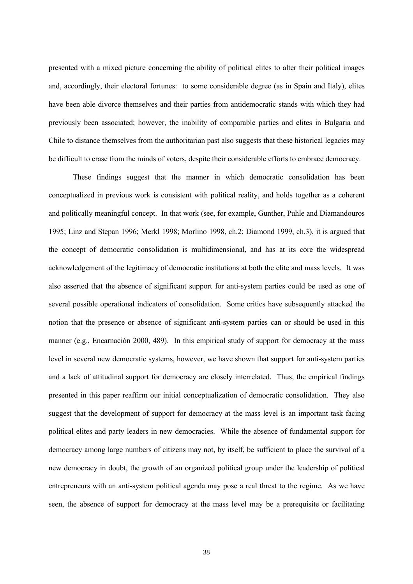presented with a mixed picture concerning the ability of political elites to alter their political images and, accordingly, their electoral fortunes: to some considerable degree (as in Spain and Italy), elites have been able divorce themselves and their parties from antidemocratic stands with which they had previously been associated; however, the inability of comparable parties and elites in Bulgaria and Chile to distance themselves from the authoritarian past also suggests that these historical legacies may be difficult to erase from the minds of voters, despite their considerable efforts to embrace democracy.

 These findings suggest that the manner in which democratic consolidation has been conceptualized in previous work is consistent with political reality, and holds together as a coherent and politically meaningful concept. In that work (see, for example, Gunther, Puhle and Diamandouros 1995; Linz and Stepan 1996; Merkl 1998; Morlino 1998, ch.2; Diamond 1999, ch.3), it is argued that the concept of democratic consolidation is multidimensional, and has at its core the widespread acknowledgement of the legitimacy of democratic institutions at both the elite and mass levels. It was also asserted that the absence of significant support for anti-system parties could be used as one of several possible operational indicators of consolidation. Some critics have subsequently attacked the notion that the presence or absence of significant anti-system parties can or should be used in this manner (e.g., Encarnación 2000, 489). In this empirical study of support for democracy at the mass level in several new democratic systems, however, we have shown that support for anti-system parties and a lack of attitudinal support for democracy are closely interrelated. Thus, the empirical findings presented in this paper reaffirm our initial conceptualization of democratic consolidation. They also suggest that the development of support for democracy at the mass level is an important task facing political elites and party leaders in new democracies. While the absence of fundamental support for democracy among large numbers of citizens may not, by itself, be sufficient to place the survival of a new democracy in doubt, the growth of an organized political group under the leadership of political entrepreneurs with an anti-system political agenda may pose a real threat to the regime. As we have seen, the absence of support for democracy at the mass level may be a prerequisite or facilitating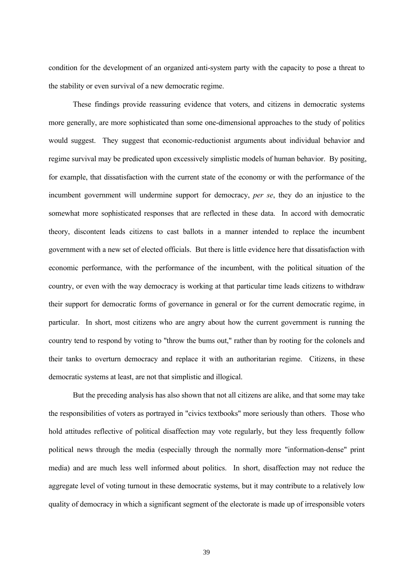condition for the development of an organized anti-system party with the capacity to pose a threat to the stability or even survival of a new democratic regime.

 These findings provide reassuring evidence that voters, and citizens in democratic systems more generally, are more sophisticated than some one-dimensional approaches to the study of politics would suggest. They suggest that economic-reductionist arguments about individual behavior and regime survival may be predicated upon excessively simplistic models of human behavior. By positing, for example, that dissatisfaction with the current state of the economy or with the performance of the incumbent government will undermine support for democracy, *per se*, they do an injustice to the somewhat more sophisticated responses that are reflected in these data. In accord with democratic theory, discontent leads citizens to cast ballots in a manner intended to replace the incumbent government with a new set of elected officials. But there is little evidence here that dissatisfaction with economic performance, with the performance of the incumbent, with the political situation of the country, or even with the way democracy is working at that particular time leads citizens to withdraw their support for democratic forms of governance in general or for the current democratic regime, in particular. In short, most citizens who are angry about how the current government is running the country tend to respond by voting to "throw the bums out," rather than by rooting for the colonels and their tanks to overturn democracy and replace it with an authoritarian regime. Citizens, in these democratic systems at least, are not that simplistic and illogical.

 But the preceding analysis has also shown that not all citizens are alike, and that some may take the responsibilities of voters as portrayed in "civics textbooks" more seriously than others. Those who hold attitudes reflective of political disaffection may vote regularly, but they less frequently follow political news through the media (especially through the normally more "information-dense" print media) and are much less well informed about politics. In short, disaffection may not reduce the aggregate level of voting turnout in these democratic systems, but it may contribute to a relatively low quality of democracy in which a significant segment of the electorate is made up of irresponsible voters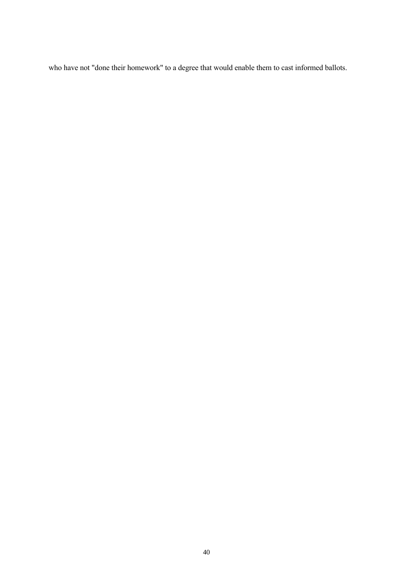who have not "done their homework" to a degree that would enable them to cast informed ballots.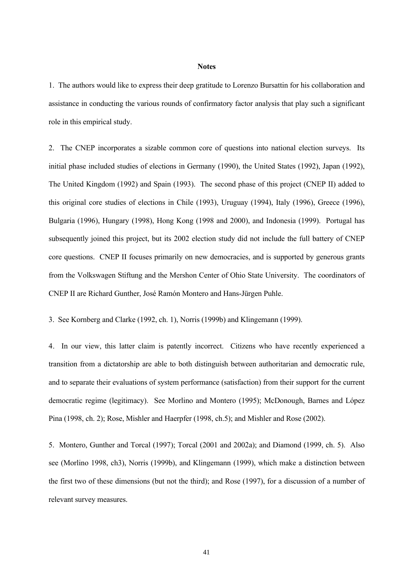#### **Notes**

1. The authors would like to express their deep gratitude to Lorenzo Bursattin for his collaboration and assistance in conducting the various rounds of confirmatory factor analysis that play such a significant role in this empirical study.

2. The CNEP incorporates a sizable common core of questions into national election surveys. Its initial phase included studies of elections in Germany (1990), the United States (1992), Japan (1992), The United Kingdom (1992) and Spain (1993). The second phase of this project (CNEP II) added to this original core studies of elections in Chile (1993), Uruguay (1994), Italy (1996), Greece (1996), Bulgaria (1996), Hungary (1998), Hong Kong (1998 and 2000), and Indonesia (1999). Portugal has subsequently joined this project, but its 2002 election study did not include the full battery of CNEP core questions. CNEP II focuses primarily on new democracies, and is supported by generous grants from the Volkswagen Stiftung and the Mershon Center of Ohio State University. The coordinators of CNEP II are Richard Gunther, José Ramón Montero and Hans-Jürgen Puhle.

3. See Kornberg and Clarke (1992, ch. 1), Norris (1999b) and Klingemann (1999).

4. In our view, this latter claim is patently incorrect. Citizens who have recently experienced a transition from a dictatorship are able to both distinguish between authoritarian and democratic rule, and to separate their evaluations of system performance (satisfaction) from their support for the current democratic regime (legitimacy). See Morlino and Montero (1995); McDonough, Barnes and López Pina (1998, ch. 2); Rose, Mishler and Haerpfer (1998, ch.5); and Mishler and Rose (2002).

5. Montero, Gunther and Torcal (1997); Torcal (2001 and 2002a); and Diamond (1999, ch. 5). Also see (Morlino 1998, ch3), Norris (1999b), and Klingemann (1999), which make a distinction between the first two of these dimensions (but not the third); and Rose (1997), for a discussion of a number of relevant survey measures.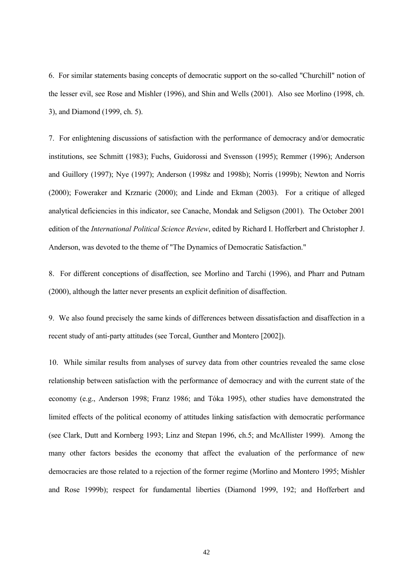6. For similar statements basing concepts of democratic support on the so-called "Churchill" notion of the lesser evil, see Rose and Mishler (1996), and Shin and Wells (2001). Also see Morlino (1998, ch. 3), and Diamond (1999, ch. 5).

7. For enlightening discussions of satisfaction with the performance of democracy and/or democratic institutions, see Schmitt (1983); Fuchs, Guidorossi and Svensson (1995); Remmer (1996); Anderson and Guillory (1997); Nye (1997); Anderson (1998z and 1998b); Norris (1999b); Newton and Norris (2000); Foweraker and Krznaric (2000); and Linde and Ekman (2003). For a critique of alleged analytical deficiencies in this indicator, see Canache, Mondak and Seligson (2001). The October 2001 edition of the *International Political Science Review*, edited by Richard I. Hofferbert and Christopher J. Anderson, was devoted to the theme of "The Dynamics of Democratic Satisfaction."

8. For different conceptions of disaffection, see Morlino and Tarchi (1996), and Pharr and Putnam (2000), although the latter never presents an explicit definition of disaffection.

9. We also found precisely the same kinds of differences between dissatisfaction and disaffection in a recent study of anti-party attitudes (see Torcal, Gunther and Montero [2002]).

10. While similar results from analyses of survey data from other countries revealed the same close relationship between satisfaction with the performance of democracy and with the current state of the economy (e.g., Anderson 1998; Franz 1986; and Tóka 1995), other studies have demonstrated the limited effects of the political economy of attitudes linking satisfaction with democratic performance (see Clark, Dutt and Kornberg 1993; Linz and Stepan 1996, ch.5; and McAllister 1999). Among the many other factors besides the economy that affect the evaluation of the performance of new democracies are those related to a rejection of the former regime (Morlino and Montero 1995; Mishler and Rose 1999b); respect for fundamental liberties (Diamond 1999, 192; and Hofferbert and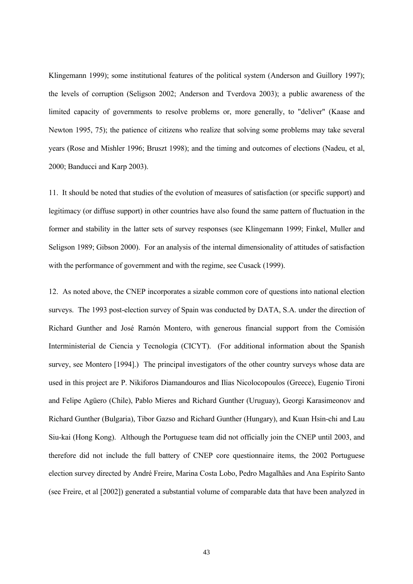Klingemann 1999); some institutional features of the political system (Anderson and Guillory 1997); the levels of corruption (Seligson 2002; Anderson and Tverdova 2003); a public awareness of the limited capacity of governments to resolve problems or, more generally, to "deliver" (Kaase and Newton 1995, 75); the patience of citizens who realize that solving some problems may take several years (Rose and Mishler 1996; Bruszt 1998); and the timing and outcomes of elections (Nadeu, et al, 2000; Banducci and Karp 2003).

11. It should be noted that studies of the evolution of measures of satisfaction (or specific support) and legitimacy (or diffuse support) in other countries have also found the same pattern of fluctuation in the former and stability in the latter sets of survey responses (see Klingemann 1999; Finkel, Muller and Seligson 1989; Gibson 2000). For an analysis of the internal dimensionality of attitudes of satisfaction with the performance of government and with the regime, see Cusack (1999).

12. As noted above, the CNEP incorporates a sizable common core of questions into national election surveys. The 1993 post-election survey of Spain was conducted by DATA, S.A. under the direction of Richard Gunther and José Ramón Montero, with generous financial support from the Comisión Interministerial de Ciencia y Tecnología (CICYT). (For additional information about the Spanish survey, see Montero [1994].) The principal investigators of the other country surveys whose data are used in this project are P. Nikiforos Diamandouros and Ilias Nicolocopoulos (Greece), Eugenio Tironi and Felipe Agüero (Chile), Pablo Mieres and Richard Gunther (Uruguay), Georgi Karasimeonov and Richard Gunther (Bulgaria), Tibor Gazso and Richard Gunther (Hungary), and Kuan Hsin-chi and Lau Siu-kai (Hong Kong). Although the Portuguese team did not officially join the CNEP until 2003, and therefore did not include the full battery of CNEP core questionnaire items, the 2002 Portuguese election survey directed by André Freire, Marina Costa Lobo, Pedro Magalhães and Ana Espírito Santo (see Freire, et al [2002]) generated a substantial volume of comparable data that have been analyzed in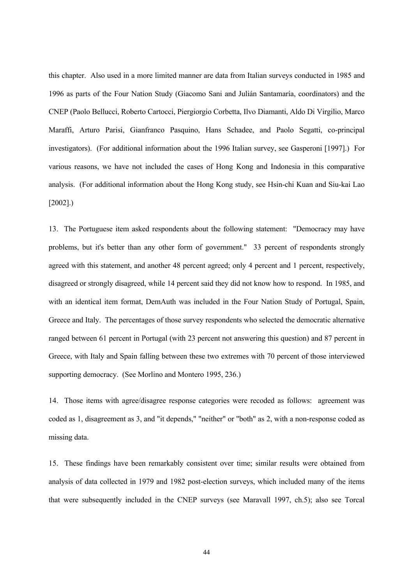this chapter. Also used in a more limited manner are data from Italian surveys conducted in 1985 and 1996 as parts of the Four Nation Study (Giacomo Sani and Julián Santamaría, coordinators) and the CNEP (Paolo Bellucci, Roberto Cartocci, Piergiorgio Corbetta, Ilvo Diamanti, Aldo Di Virgilio, Marco Maraffi, Arturo Parisi, Gianfranco Pasquino, Hans Schadee, and Paolo Segatti, co-principal investigators). (For additional information about the 1996 Italian survey, see Gasperoni [1997].) For various reasons, we have not included the cases of Hong Kong and Indonesia in this comparative analysis. (For additional information about the Hong Kong study, see Hsin-chi Kuan and Siu-kai Lao [2002].)

13. The Portuguese item asked respondents about the following statement: "Democracy may have problems, but it's better than any other form of government." 33 percent of respondents strongly agreed with this statement, and another 48 percent agreed; only 4 percent and 1 percent, respectively, disagreed or strongly disagreed, while 14 percent said they did not know how to respond. In 1985, and with an identical item format, DemAuth was included in the Four Nation Study of Portugal, Spain, Greece and Italy. The percentages of those survey respondents who selected the democratic alternative ranged between 61 percent in Portugal (with 23 percent not answering this question) and 87 percent in Greece, with Italy and Spain falling between these two extremes with 70 percent of those interviewed supporting democracy. (See Morlino and Montero 1995, 236.)

14. Those items with agree/disagree response categories were recoded as follows: agreement was coded as 1, disagreement as 3, and "it depends," "neither" or "both" as 2, with a non-response coded as missing data.

15. These findings have been remarkably consistent over time; similar results were obtained from analysis of data collected in 1979 and 1982 post-election surveys, which included many of the items that were subsequently included in the CNEP surveys (see Maravall 1997, ch.5); also see Torcal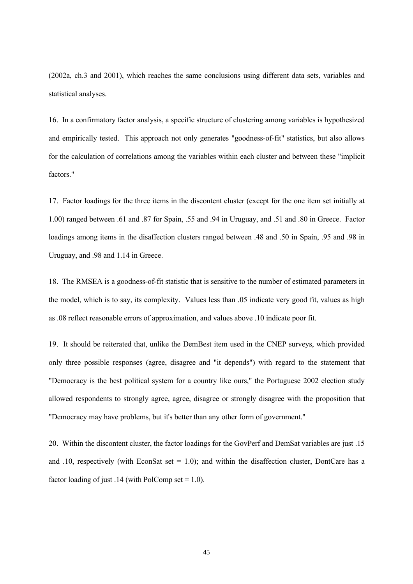(2002a, ch.3 and 2001), which reaches the same conclusions using different data sets, variables and statistical analyses.

16. In a confirmatory factor analysis, a specific structure of clustering among variables is hypothesized and empirically tested. This approach not only generates "goodness-of-fit" statistics, but also allows for the calculation of correlations among the variables within each cluster and between these "implicit factors."

17. Factor loadings for the three items in the discontent cluster (except for the one item set initially at 1.00) ranged between .61 and .87 for Spain, .55 and .94 in Uruguay, and .51 and .80 in Greece. Factor loadings among items in the disaffection clusters ranged between .48 and .50 in Spain, .95 and .98 in Uruguay, and .98 and 1.14 in Greece.

18. The RMSEA is a goodness-of-fit statistic that is sensitive to the number of estimated parameters in the model, which is to say, its complexity. Values less than .05 indicate very good fit, values as high as .08 reflect reasonable errors of approximation, and values above .10 indicate poor fit.

19. It should be reiterated that, unlike the DemBest item used in the CNEP surveys, which provided only three possible responses (agree, disagree and "it depends") with regard to the statement that "Democracy is the best political system for a country like ours," the Portuguese 2002 election study allowed respondents to strongly agree, agree, disagree or strongly disagree with the proposition that "Democracy may have problems, but it's better than any other form of government."

20. Within the discontent cluster, the factor loadings for the GovPerf and DemSat variables are just .15 and .10, respectively (with EconSat set  $= 1.0$ ); and within the disaffection cluster, DontCare has a factor loading of just  $.14$  (with PolComp set = 1.0).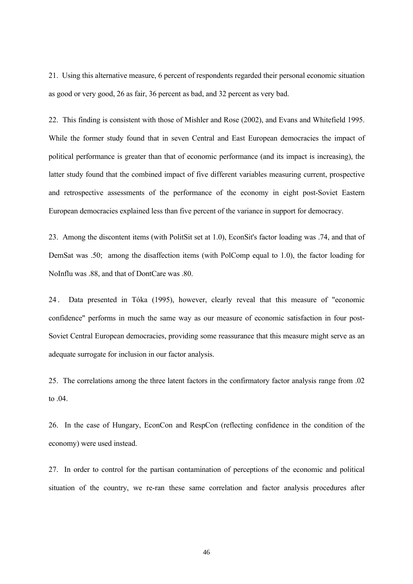21. Using this alternative measure, 6 percent of respondents regarded their personal economic situation as good or very good, 26 as fair, 36 percent as bad, and 32 percent as very bad.

22. This finding is consistent with those of Mishler and Rose (2002), and Evans and Whitefield 1995. While the former study found that in seven Central and East European democracies the impact of political performance is greater than that of economic performance (and its impact is increasing), the latter study found that the combined impact of five different variables measuring current, prospective and retrospective assessments of the performance of the economy in eight post-Soviet Eastern European democracies explained less than five percent of the variance in support for democracy.

23. Among the discontent items (with PolitSit set at 1.0), EconSit's factor loading was .74, and that of DemSat was .50; among the disaffection items (with PolComp equal to 1.0), the factor loading for NoInflu was .88, and that of DontCare was .80.

24 . Data presented in Tóka (1995), however, clearly reveal that this measure of "economic confidence" performs in much the same way as our measure of economic satisfaction in four post-Soviet Central European democracies, providing some reassurance that this measure might serve as an adequate surrogate for inclusion in our factor analysis.

25. The correlations among the three latent factors in the confirmatory factor analysis range from .02 to .04.

26. In the case of Hungary, EconCon and RespCon (reflecting confidence in the condition of the economy) were used instead.

27. In order to control for the partisan contamination of perceptions of the economic and political situation of the country, we re-ran these same correlation and factor analysis procedures after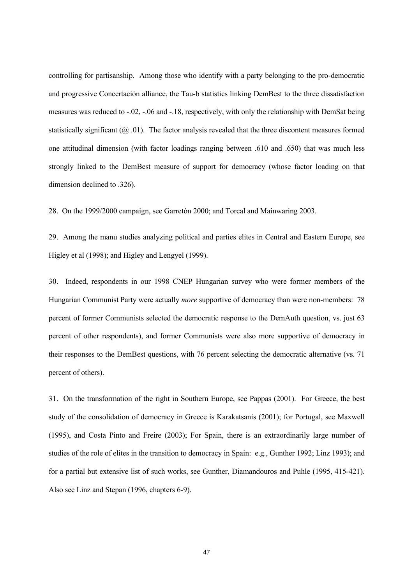controlling for partisanship. Among those who identify with a party belonging to the pro-democratic and progressive Concertación alliance, the Tau-b statistics linking DemBest to the three dissatisfaction measures was reduced to -.02, -.06 and -.18, respectively, with only the relationship with DemSat being statistically significant ( $\omega$ , 01). The factor analysis revealed that the three discontent measures formed one attitudinal dimension (with factor loadings ranging between .610 and .650) that was much less strongly linked to the DemBest measure of support for democracy (whose factor loading on that dimension declined to .326).

28. On the 1999/2000 campaign, see Garretón 2000; and Torcal and Mainwaring 2003.

29. Among the manu studies analyzing political and parties elites in Central and Eastern Europe, see Higley et al (1998); and Higley and Lengyel (1999).

30. Indeed, respondents in our 1998 CNEP Hungarian survey who were former members of the Hungarian Communist Party were actually *more* supportive of democracy than were non-members: 78 percent of former Communists selected the democratic response to the DemAuth question, vs. just 63 percent of other respondents), and former Communists were also more supportive of democracy in their responses to the DemBest questions, with 76 percent selecting the democratic alternative (vs. 71 percent of others).

31. On the transformation of the right in Southern Europe, see Pappas (2001). For Greece, the best study of the consolidation of democracy in Greece is Karakatsanis (2001); for Portugal, see Maxwell (1995), and Costa Pinto and Freire (2003); For Spain, there is an extraordinarily large number of studies of the role of elites in the transition to democracy in Spain: e.g., Gunther 1992; Linz 1993); and for a partial but extensive list of such works, see Gunther, Diamandouros and Puhle (1995, 415-421). Also see Linz and Stepan (1996, chapters 6-9).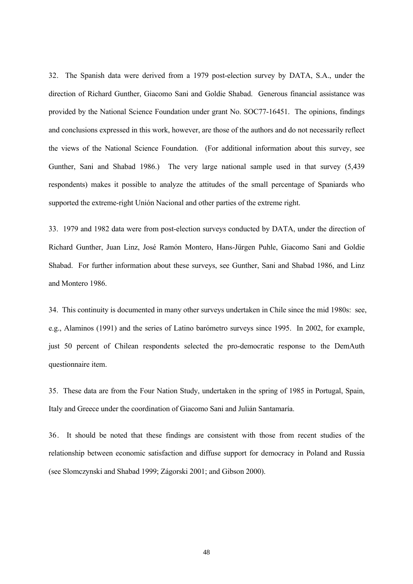32. The Spanish data were derived from a 1979 post-election survey by DATA, S.A., under the direction of Richard Gunther, Giacomo Sani and Goldie Shabad. Generous financial assistance was provided by the National Science Foundation under grant No. SOC77-16451. The opinions, findings and conclusions expressed in this work, however, are those of the authors and do not necessarily reflect the views of the National Science Foundation. (For additional information about this survey, see Gunther, Sani and Shabad 1986.) The very large national sample used in that survey (5,439 respondents) makes it possible to analyze the attitudes of the small percentage of Spaniards who supported the extreme-right Unión Nacional and other parties of the extreme right.

33. 1979 and 1982 data were from post-election surveys conducted by DATA, under the direction of Richard Gunther, Juan Linz, José Ramón Montero, Hans-Jürgen Puhle, Giacomo Sani and Goldie Shabad. For further information about these surveys, see Gunther, Sani and Shabad 1986, and Linz and Montero 1986.

34. This continuity is documented in many other surveys undertaken in Chile since the mid 1980s: see, e.g., Alaminos (1991) and the series of Latino barómetro surveys since 1995. In 2002, for example, just 50 percent of Chilean respondents selected the pro-democratic response to the DemAuth questionnaire item.

35. These data are from the Four Nation Study, undertaken in the spring of 1985 in Portugal, Spain, Italy and Greece under the coordination of Giacomo Sani and Julián Santamaría.

36. It should be noted that these findings are consistent with those from recent studies of the relationship between economic satisfaction and diffuse support for democracy in Poland and Russia (see Slomczynski and Shabad 1999; Zágorski 2001; and Gibson 2000).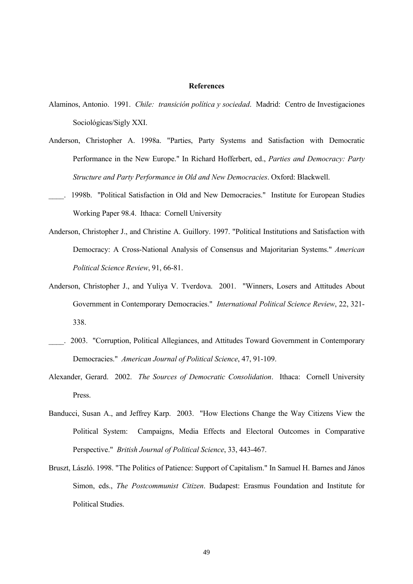#### **References**

- Alaminos, Antonio. 1991. *Chile: transición política y sociedad*. Madrid: Centro de Investigaciones Sociológicas/Sigly XXI.
- Anderson, Christopher A. 1998a. "Parties, Party Systems and Satisfaction with Democratic Performance in the New Europe." In Richard Hofferbert, ed., *Parties and Democracy: Party Structure and Party Performance in Old and New Democracies*. Oxford: Blackwell.
- 1998b. "Political Satisfaction in Old and New Democracies." Institute for European Studies Working Paper 98.4. Ithaca: Cornell University
- Anderson, Christopher J., and Christine A. Guillory. 1997. "Political Institutions and Satisfaction with Democracy: A Cross-National Analysis of Consensus and Majoritarian Systems." *American Political Science Review*, 91, 66-81.
- Anderson, Christopher J., and Yuliya V. Tverdova. 2001. "Winners, Losers and Attitudes About Government in Contemporary Democracies." *International Political Science Review*, 22, 321- 338.
- 2003. "Corruption, Political Allegiances, and Attitudes Toward Government in Contemporary Democracies." *American Journal of Political Science*, 47, 91-109.
- Alexander, Gerard. 2002. *The Sources of Democratic Consolidation*. Ithaca: Cornell University Press.
- Banducci, Susan A., and Jeffrey Karp. 2003. "How Elections Change the Way Citizens View the Political System: Campaigns, Media Effects and Electoral Outcomes in Comparative Perspective." *British Journal of Political Science*, 33, 443-467.
- Bruszt, László. 1998. "The Politics of Patience: Support of Capitalism." In Samuel H. Barnes and János Simon, eds., *The Postcommunist Citizen*. Budapest: Erasmus Foundation and Institute for Political Studies.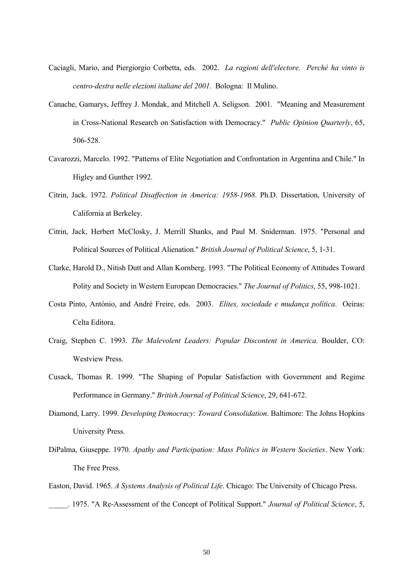- Caciagli, Mario, and Piergiorgio Corbetta, eds. 2002. *La ragioni dell'electore. Perché ha vinto is centro-destra nelle elezioni italiane del 2001*. Bologna: Il Mulino.
- Canache, Gamarys, Jeffrey J. Mondak, and Mitchell A. Seligson. 2001. "Meaning and Measurement in Cross-National Research on Satisfaction with Democracy." *Public Opinion Quarterly*, 65, 506-528.
- Cavarozzi, Marcelo. 1992. "Patterns of Elite Negotiation and Confrontation in Argentina and Chile." In Higley and Gunther 1992.
- Citrin, Jack. 1972. *Political Disaffection in America: 1958-1968*. Ph.D. Dissertation, University of California at Berkeley.
- Citrin, Jack, Herbert McClosky, J. Merrill Shanks, and Paul M. Sniderman. 1975. "Personal and Political Sources of Political Alienation." *British Journal of Political Science*, 5, 1-31.
- Clarke, Harold D., Nitish Dutt and Allan Kornberg. 1993. "The Political Economy of Attitudes Toward Polity and Society in Western European Democracies." *The Journal of Politics*, 55, 998-1021.
- Costa Pinto, António, and André Freire, eds. 2003. *Elites, sociedade e mudança política*. Oeiras: Celta Editora.
- Craig, Stephen C. 1993. *The Malevolent Leaders: Popular Discontent in America*. Boulder, CO: Westview Press.
- Cusack, Thomas R. 1999. "The Shaping of Popular Satisfaction with Government and Regime Performance in Germany." *British Journal of Political Science*, 29, 641-672.
- Diamond, Larry. 1999. *Developing Democracy: Toward Consolidation*. Baltimore: The Johns Hopkins University Press.
- DiPalma, Giuseppe. 1970. *Apathy and Participation: Mass Politics in Western Societies*. New York: The Free Press.
- Easton, David. 1965. *A Systems Analysis of Political Life*. Chicago: The University of Chicago Press. \_\_\_\_\_. 1975. "A Re-Assessment of the Concept of Political Support." *Journal of Political Science*, 5,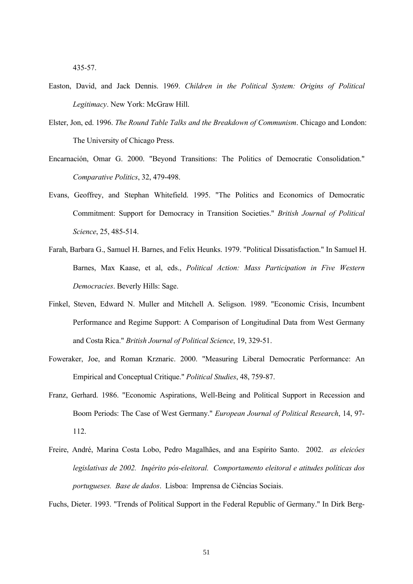435-57.

- Easton, David, and Jack Dennis. 1969. *Children in the Political System: Origins of Political Legitimacy*. New York: McGraw Hill.
- Elster, Jon, ed. 1996. *The Round Table Talks and the Breakdown of Communism*. Chicago and London: The University of Chicago Press.
- Encarnación, Omar G. 2000. "Beyond Transitions: The Politics of Democratic Consolidation." *Comparative Politics*, 32, 479-498.
- Evans, Geoffrey, and Stephan Whitefield. 1995. "The Politics and Economics of Democratic Commitment: Support for Democracy in Transition Societies." *British Journal of Political Science*, 25, 485-514.
- Farah, Barbara G., Samuel H. Barnes, and Felix Heunks. 1979. "Political Dissatisfaction." In Samuel H. Barnes, Max Kaase, et al, eds., *Political Action: Mass Participation in Five Western Democracies*. Beverly Hills: Sage.
- Finkel, Steven, Edward N. Muller and Mitchell A. Seligson. 1989. "Economic Crisis, Incumbent Performance and Regime Support: A Comparison of Longitudinal Data from West Germany and Costa Rica." *British Journal of Political Science*, 19, 329-51.
- Foweraker, Joe, and Roman Krznaric. 2000. "Measuring Liberal Democratic Performance: An Empirical and Conceptual Critique." *Political Studies*, 48, 759-87.
- Franz, Gerhard. 1986. "Economic Aspirations, Well-Being and Political Support in Recession and Boom Periods: The Case of West Germany." *European Journal of Political Research*, 14, 97- 112.
- Freire, André, Marina Costa Lobo, Pedro Magalhães, and ana Espírito Santo. 2002. *as eleicôes legislativas de 2002. Inqérito pós-eleitoral. Comportamento eleitoral e atitudes políticas dos portugueses. Base de dados*. Lisboa: Imprensa de Ciências Sociais.

Fuchs, Dieter. 1993. "Trends of Political Support in the Federal Republic of Germany." In Dirk Berg-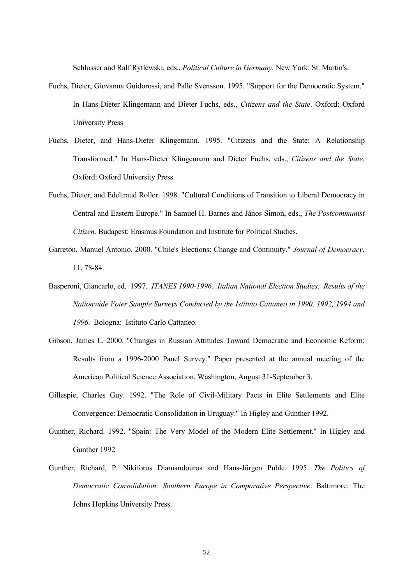Schlosser and Ralf Rytlewski, eds., *Political Culture in Germany*. New York: St. Martin's.

- Fuchs, Dieter, Giovanna Guidorossi, and Palle Svensson. 1995. "Support for the Democratic System." In Hans-Dieter Klingemann and Dieter Fuchs, eds., *Citizens and the State*. Oxford: Oxford University Press
- Fuchs, Dieter, and Hans-Dieter Klingemann. 1995. "Citizens and the State: A Relationship Transformed." In Hans-Dieter Klingemann and Dieter Fuchs, eds., *Citizens and the State*. Oxford: Oxford University Press.
- Fuchs, Dieter, and Edeltraud Roller. 1998. "Cultural Conditions of Transition to Liberal Democracy in Central and Eastern Europe." In Samuel H. Barnes and János Simon, eds., *The Postcommunist Citizen*. Budapest: Erasmus Foundation and Institute for Political Studies.
- Garretón, Manuel Antonio. 2000. "Chile's Elections: Change and Continuity." *Journal of Democracy*, 11, 78-84.
- Basperoni, Giancarlo, ed. 1997. *ITANES 1990-1996. Italian National Election Studies. Results of the Nationwide Voter Sample Surveys Conducted by the Istituto Cattaneo in 1990, 1992, 1994 and 1996*. Bologna: Istituto Carlo Cattaneo.
- Gibson, James L. 2000. "Changes in Russian Attitudes Toward Democratic and Economic Reform: Results from a 1996-2000 Panel Survey." Paper presented at the annual meeting of the American Political Science Association, Washington, August 31-September 3.
- Gillespie, Charles Guy. 1992. "The Role of Civil-Military Pacts in Elite Settlements and Elite Convergence: Democratic Consolidation in Uruguay." In Higley and Gunther 1992.
- Gunther, Richard. 1992. "Spain: The Very Model of the Modern Elite Settlement." In Higley and Gunther 1992
- Gunther, Richard, P. Nikiforos Diamandouros and Hans-Jürgen Puhle. 1995. *The Politics of Democratic Consolidation: Southern Europe in Comparative Perspective*. Baltimore: The Johns Hopkins University Press.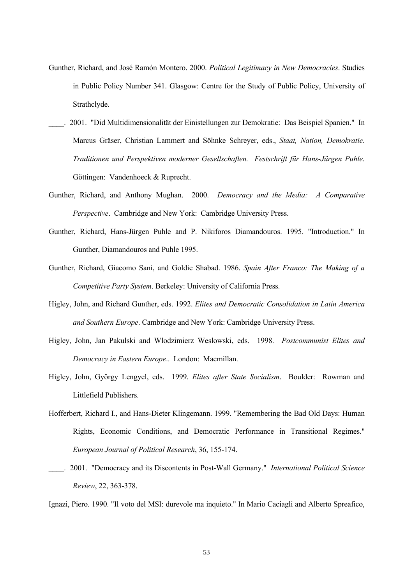- Gunther, Richard, and José Ramón Montero. 2000. *Political Legitimacy in New Democracies*. Studies in Public Policy Number 341. Glasgow: Centre for the Study of Public Policy, University of Strathclyde.
- \_\_\_\_. 2001. "Did Multidimensionalität der Einistellungen zur Demokratie: Das Beispiel Spanien." In Marcus Gräser, Christian Lammert and Söhnke Schreyer, eds., *Staat, Nation, Demokratie. Traditionen und Perspektiven moderner Gesellschaften. Festschrift für Hans-Jürgen Puhle*. Göttingen: Vandenhoeck & Ruprecht.
- Gunther, Richard, and Anthony Mughan. 2000. *Democracy and the Media: A Comparative Perspective*. Cambridge and New York: Cambridge University Press.
- Gunther, Richard, Hans-Jürgen Puhle and P. Nikiforos Diamandouros. 1995. "Introduction." In Gunther, Diamandouros and Puhle 1995.
- Gunther, Richard, Giacomo Sani, and Goldie Shabad. 1986. *Spain After Franco: The Making of a Competitive Party System*. Berkeley: University of California Press.
- Higley, John, and Richard Gunther, eds. 1992. *Elites and Democratic Consolidation in Latin America and Southern Europe*. Cambridge and New York: Cambridge University Press.
- Higley, John, Jan Pakulski and Wlodzimierz Weslowski, eds. 1998. *Postcommunist Elites and Democracy in Eastern Europe*.. London: Macmillan.
- Higley, John, György Lengyel, eds. 1999. *Elites after State Socialism*. Boulder: Rowman and Littlefield Publishers.
- Hofferbert, Richard I., and Hans-Dieter Klingemann. 1999. "Remembering the Bad Old Days: Human Rights, Economic Conditions, and Democratic Performance in Transitional Regimes." *European Journal of Political Research*, 36, 155-174.
- \_\_\_\_. 2001. "Democracy and its Discontents in Post-Wall Germany." *International Political Science Review*, 22, 363-378.

Ignazi, Piero. 1990. "Il voto del MSI: durevole ma inquieto." In Mario Caciagli and Alberto Spreafico,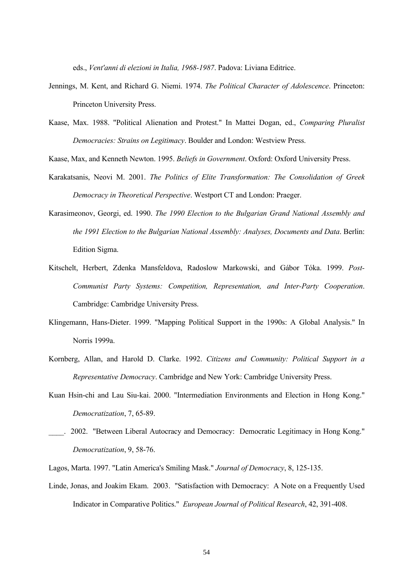eds., *Vent'anni di elezioni in Italia, 1968-1987*. Padova: Liviana Editrice.

- Jennings, M. Kent, and Richard G. Niemi. 1974. *The Political Character of Adolescence*. Princeton: Princeton University Press.
- Kaase, Max. 1988. "Political Alienation and Protest." In Mattei Dogan, ed., *Comparing Pluralist Democracies: Strains on Legitimacy*. Boulder and London: Westview Press.

Kaase, Max, and Kenneth Newton. 1995. *Beliefs in Government*. Oxford: Oxford University Press.

- Karakatsanis, Neovi M. 2001. *The Politics of Elite Transformation: The Consolidation of Greek Democracy in Theoretical Perspective*. Westport CT and London: Praeger.
- Karasimeonov, Georgi, ed. 1990. *The 1990 Election to the Bulgarian Grand National Assembly and the 1991 Election to the Bulgarian National Assembly: Analyses, Documents and Data*. Berlin: Edition Sigma.
- Kitschelt, Herbert, Zdenka Mansfeldova, Radoslow Markowski, and Gábor Tóka. 1999. *Post-Communist Party Systems: Competition, Representation, and Inter-Party Cooperation*. Cambridge: Cambridge University Press.
- Klingemann, Hans-Dieter. 1999. "Mapping Political Support in the 1990s: A Global Analysis." In Norris 1999a.
- Kornberg, Allan, and Harold D. Clarke. 1992. *Citizens and Community: Political Support in a Representative Democracy*. Cambridge and New York: Cambridge University Press.
- Kuan Hsin-chi and Lau Siu-kai. 2000. "Intermediation Environments and Election in Hong Kong." *Democratization*, 7, 65-89.
- \_\_\_\_. 2002. "Between Liberal Autocracy and Democracy: Democratic Legitimacy in Hong Kong." *Democratization*, 9, 58-76.
- Lagos, Marta. 1997. "Latin America's Smiling Mask." *Journal of Democracy*, 8, 125-135.
- Linde, Jonas, and Joakim Ekam. 2003. "Satisfaction with Democracy: A Note on a Frequently Used Indicator in Comparative Politics." *European Journal of Political Research*, 42, 391-408.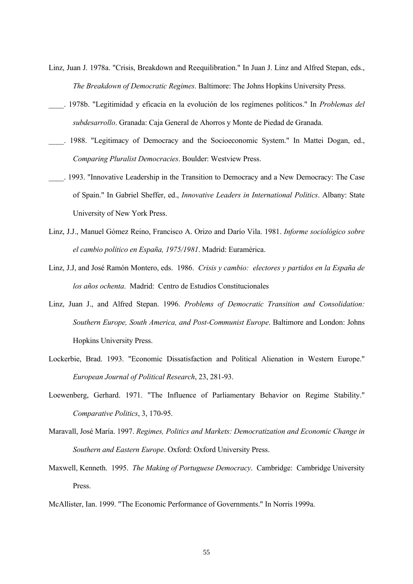- Linz, Juan J. 1978a. "Crisis, Breakdown and Reequilibration." In Juan J. Linz and Alfred Stepan, eds., *The Breakdown of Democratic Regimes*. Baltimore: The Johns Hopkins University Press.
- \_\_\_\_. 1978b. "Legitimidad y eficacia en la evolución de los regímenes políticos." In *Problemas del subdesarrollo*. Granada: Caja General de Ahorros y Monte de Piedad de Granada.
- . 1988. "Legitimacy of Democracy and the Socioeconomic System." In Mattei Dogan, ed., *Comparing Pluralist Democracies*. Boulder: Westview Press.
- \_\_\_\_. 1993. "Innovative Leadership in the Transition to Democracy and a New Democracy: The Case of Spain." In Gabriel Sheffer, ed., *Innovative Leaders in International Politics*. Albany: State University of New York Press.
- Linz, J.J., Manuel Gómez Reino, Francisco A. Orizo and Darío Vila. 1981. *Informe sociológico sobre el cambio político en España, 1975/1981*. Madrid: Euramérica.
- Linz, J.J, and José Ramón Montero, eds. 1986. *Crisis y cambio: electores y partidos en la España de los años ochenta*. Madrid: Centro de Estudios Constitucionales
- Linz, Juan J., and Alfred Stepan. 1996. *Problems of Democratic Transition and Consolidation: Southern Europe, South America, and Post-Communist Europe*. Baltimore and London: Johns Hopkins University Press.
- Lockerbie, Brad. 1993. "Economic Dissatisfaction and Political Alienation in Western Europe." *European Journal of Political Research*, 23, 281-93.
- Loewenberg, Gerhard. 1971. "The Influence of Parliamentary Behavior on Regime Stability." *Comparative Politics*, 3, 170-95.
- Maravall, José María. 1997. *Regimes, Politics and Markets: Democratization and Economic Change in Southern and Eastern Europe*. Oxford: Oxford University Press.
- Maxwell, Kenneth. 1995. *The Making of Portuguese Democracy*. Cambridge: Cambridge University Press.
- McAllister, Ian. 1999. "The Economic Performance of Governments." In Norris 1999a.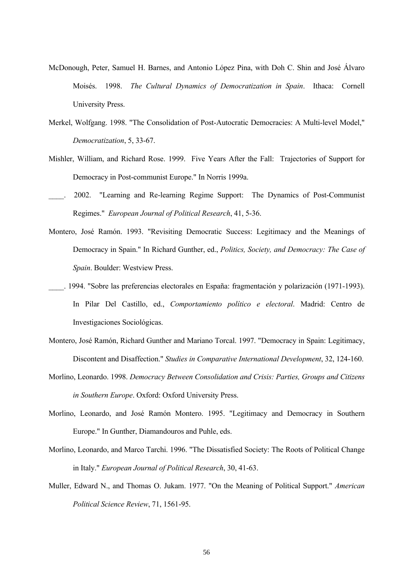- McDonough, Peter, Samuel H. Barnes, and Antonio López Pina, with Doh C. Shin and José Álvaro Moisés. 1998. *The Cultural Dynamics of Democratization in Spain*. Ithaca: Cornell University Press.
- Merkel, Wolfgang. 1998. "The Consolidation of Post-Autocratic Democracies: A Multi-level Model," *Democratization*, 5, 33-67.
- Mishler, William, and Richard Rose. 1999. Five Years After the Fall: Trajectories of Support for Democracy in Post-communist Europe." In Norris 1999a.
- \_\_\_\_. 2002. "Learning and Re-learning Regime Support: The Dynamics of Post-Communist Regimes." *European Journal of Political Research*, 41, 5-36.
- Montero, José Ramón. 1993. "Revisiting Democratic Success: Legitimacy and the Meanings of Democracy in Spain." In Richard Gunther, ed., *Politics, Society, and Democracy: The Case of Spain*. Boulder: Westview Press.
- \_\_\_\_. 1994. "Sobre las preferencias electorales en España: fragmentación y polarización (1971-1993). In Pilar Del Castillo, ed., *Comportamiento político e electoral*. Madrid: Centro de Investigaciones Sociológicas.
- Montero, José Ramón, Richard Gunther and Mariano Torcal. 1997. "Democracy in Spain: Legitimacy, Discontent and Disaffection." *Studies in Comparative International Development*, 32, 124-160.
- Morlino, Leonardo. 1998. *Democracy Between Consolidation and Crisis: Parties, Groups and Citizens in Southern Europe*. Oxford: Oxford University Press.
- Morlino, Leonardo, and José Ramón Montero. 1995. "Legitimacy and Democracy in Southern Europe." In Gunther, Diamandouros and Puhle, eds.
- Morlino, Leonardo, and Marco Tarchi. 1996. "The Dissatisfied Society: The Roots of Political Change in Italy." *European Journal of Political Research*, 30, 41-63.
- Muller, Edward N., and Thomas O. Jukam. 1977. "On the Meaning of Political Support." *American Political Science Review*, 71, 1561-95.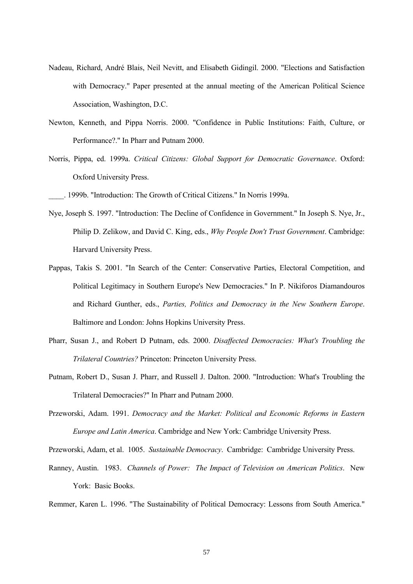- Nadeau, Richard, André Blais, Neil Nevitt, and Elisabeth Gidingil. 2000. "Elections and Satisfaction with Democracy." Paper presented at the annual meeting of the American Political Science Association, Washington, D.C.
- Newton, Kenneth, and Pippa Norris. 2000. "Confidence in Public Institutions: Faith, Culture, or Performance?." In Pharr and Putnam 2000.
- Norris, Pippa, ed. 1999a. *Critical Citizens: Global Support for Democratic Governance*. Oxford: Oxford University Press.
- \_\_\_\_. 1999b. "Introduction: The Growth of Critical Citizens." In Norris 1999a.
- Nye, Joseph S. 1997. "Introduction: The Decline of Confidence in Government." In Joseph S. Nye, Jr., Philip D. Zelikow, and David C. King, eds., *Why People Don't Trust Government*. Cambridge: Harvard University Press.
- Pappas, Takis S. 2001. "In Search of the Center: Conservative Parties, Electoral Competition, and Political Legitimacy in Southern Europe's New Democracies." In P. Nikiforos Diamandouros and Richard Gunther, eds., *Parties, Politics and Democracy in the New Southern Europe*. Baltimore and London: Johns Hopkins University Press.
- Pharr, Susan J., and Robert D Putnam, eds. 2000. *Disaffected Democracies: What's Troubling the Trilateral Countries?* Princeton: Princeton University Press.
- Putnam, Robert D., Susan J. Pharr, and Russell J. Dalton. 2000. "Introduction: What's Troubling the Trilateral Democracies?" In Pharr and Putnam 2000.
- Przeworski, Adam. 1991. *Democracy and the Market: Political and Economic Reforms in Eastern Europe and Latin America*. Cambridge and New York: Cambridge University Press.

Przeworski, Adam, et al. 1005. *Sustainable Democracy*. Cambridge: Cambridge University Press.

Ranney, Austin. 1983. *Channels of Power: The Impact of Television on American Politics*. New York: Basic Books.

Remmer, Karen L. 1996. "The Sustainability of Political Democracy: Lessons from South America."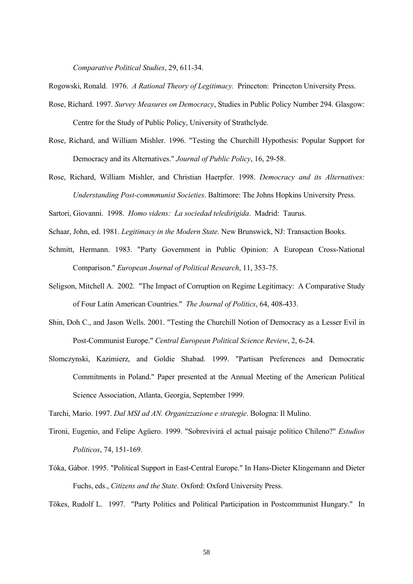*Comparative Political Studies*, 29, 611-34.

Rogowski, Ronald. 1976. *A Rational Theory of Legitimacy.* Princeton: Princeton University Press.

- Rose, Richard. 1997. *Survey Measures on Democracy*, Studies in Public Policy Number 294. Glasgow: Centre for the Study of Public Policy, University of Strathclyde.
- Rose, Richard, and William Mishler. 1996. "Testing the Churchill Hypothesis: Popular Support for Democracy and its Alternatives." *Journal of Public Policy*, 16, 29-58.
- Rose, Richard, William Mishler, and Christian Haerpfer. 1998. *Democracy and its Alternatives: Understanding Post-commmunist Societies*. Baltimore: The Johns Hopkins University Press.

Sartori, Giovanni. 1998. *Homo videns: La sociedad teledirigida*. Madrid: Taurus.

- Schaar, John, ed. 1981. *Legitimacy in the Modern State*. New Brunswick, NJ: Transaction Books.
- Schmitt, Hermann. 1983. "Party Government in Public Opinion: A European Cross-National Comparison." *European Journal of Political Research*, 11, 353-75.
- Seligson, Mitchell A. 2002. "The Impact of Corruption on Regime Legitimacy: A Comparative Study of Four Latin American Countries." *The Journal of Politics*, 64, 408-433.
- Shin, Doh C., and Jason Wells. 2001. "Testing the Churchill Notion of Democracy as a Lesser Evil in Post-Communist Europe." *Central European Political Science Review*, 2, 6-24.
- Slomczynski, Kazimierz, and Goldie Shabad. 1999. "Partisan Preferences and Democratic Commitments in Poland." Paper presented at the Annual Meeting of the American Political Science Association, Atlanta, Georgia, September 1999.

Tarchi, Mario. 1997. *Dal MSI ad AN. Organizzazione e strategie*. Bologna: Il Mulino.

- Tironi, Eugenio, and Felipe Agüero. 1999. "Sobrevivirá el actual paisaje político Chileno?" *Estudios Politicos*, 74, 151-169.
- Tóka, Gábor. 1995. "Political Support in East-Central Europe." In Hans-Dieter Klingemann and Dieter Fuchs, eds., *Citizens and the State*. Oxford: Oxford University Press.

Tökes, Rudolf L. 1997. "Party Politics and Political Participation in Postcommunist Hungary." In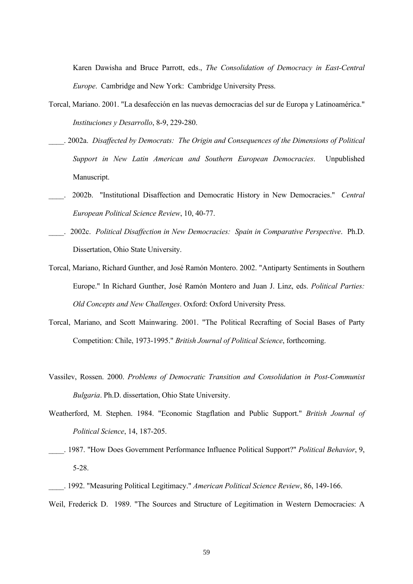Karen Dawisha and Bruce Parrott, eds., *The Consolidation of Democracy in East-Central Europe*. Cambridge and New York: Cambridge University Press.

- Torcal, Mariano. 2001. "La desafección en las nuevas democracias del sur de Europa y Latinoamérica." *Instituciones y Desarrollo*, 8-9, 229-280.
- \_\_\_\_. 2002a. *Disaffected by Democrats: The Origin and Consequences of the Dimensions of Political Support in New Latin American and Southern European Democracies*. Unpublished Manuscript.
- \_\_\_\_. 2002b. "Institutional Disaffection and Democratic History in New Democracies." *Central European Political Science Review*, 10, 40-77.
- \_\_\_\_. 2002c. *Political Disaffection in New Democracies: Spain in Comparative Perspective*. Ph.D. Dissertation, Ohio State University.
- Torcal, Mariano, Richard Gunther, and José Ramón Montero. 2002. "Antiparty Sentiments in Southern Europe." In Richard Gunther, José Ramón Montero and Juan J. Linz, eds. *Political Parties: Old Concepts and New Challenges*. Oxford: Oxford University Press.
- Torcal, Mariano, and Scott Mainwaring. 2001. "The Political Recrafting of Social Bases of Party Competition: Chile, 1973-1995." *British Journal of Political Science*, forthcoming.
- Vassilev, Rossen. 2000. *Problems of Democratic Transition and Consolidation in Post-Communist Bulgaria*. Ph.D. dissertation, Ohio State University.
- Weatherford, M. Stephen. 1984. "Economic Stagflation and Public Support." *British Journal of Political Science*, 14, 187-205.
- \_\_\_\_. 1987. "How Does Government Performance Influence Political Support?" *Political Behavior*, 9, 5-28.
- \_\_\_\_. 1992. "Measuring Political Legitimacy." *American Political Science Review*, 86, 149-166. Weil, Frederick D. 1989. "The Sources and Structure of Legitimation in Western Democracies: A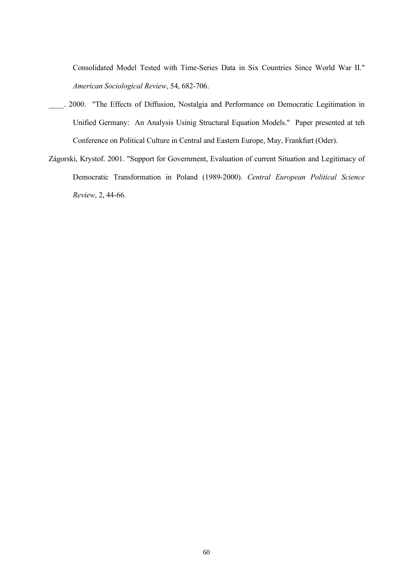Consolidated Model Tested with Time-Series Data in Six Countries Since World War II." *American Sociological Review*, 54, 682-706.

- \_\_\_\_. 2000. "The Effects of Diffusion, Nostalgia and Performance on Democratic Legitimation in Unified Germany: An Analysis Usinig Structural Equation Models." Paper presented at teh Conference on Political Culture in Central and Eastern Europe, May, Frankfurt (Oder).
- Zágorski, Krystof. 2001. "Support for Government, Evaluation of current Situation and Legitimacy of Democratic Transformation in Poland (1989-2000). *Central European Political Science Review*, 2, 44-66.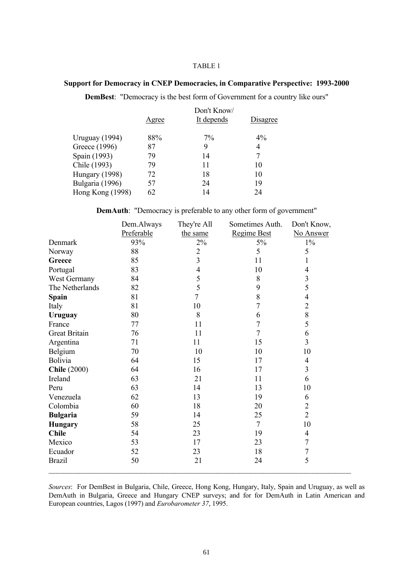## **Support for Democracy in CNEP Democracies, in Comparative Perspective: 1993-2000**

 **DemBest**: "Democracy is the best form of Government for a country like ours"

|                  |       | Don't Know/ |                 |  |
|------------------|-------|-------------|-----------------|--|
|                  | Agree | It depends  | <b>Disagree</b> |  |
| Uruguay (1994)   | 88%   | 7%          | $4\%$           |  |
| Greece (1996)    | 87    | 9           | 4               |  |
| Spain (1993)     | 79    | 14          |                 |  |
| Chile (1993)     | 79    | 11          | 10              |  |
| Hungary (1998)   | 72    | 18          | 10              |  |
| Bulgaria (1996)  | 57    | 24          | 19              |  |
| Hong Kong (1998) |       | 14          | 24              |  |

**DemAuth**: "Democracy is preferable to any other form of government"

|                     | Dem.Always | They're All              | Sometimes Auth.    | Don't Know,      |
|---------------------|------------|--------------------------|--------------------|------------------|
|                     | Preferable | the same                 | <b>Regime Best</b> | No Answer        |
| Denmark             | 93%        | 2%                       | 5%                 | $1\%$            |
| Norway              | 88         | $\overline{2}$           | 5                  | 5                |
| Greece              | 85         | 3                        | 11                 | 1                |
| Portugal            | 83         | $\overline{\mathcal{L}}$ | 10                 | 4                |
| West Germany        | 84         | 5                        | 8                  | 3                |
| The Netherlands     | 82         | 5                        | 9                  | 5                |
| <b>Spain</b>        | 81         | $\overline{7}$           | 8                  | 4                |
| Italy               | 81         | 10                       | 7                  | $\overline{2}$   |
| Uruguay             | 80         | 8                        | 6                  | 8                |
| France              | 77         | 11                       | 7                  | 5                |
| Great Britain       | 76         | 11                       | 7                  | 6                |
| Argentina           | 71         | 11                       | 15                 | 3                |
| Belgium             | 70         | 10                       | 10                 | 10               |
| <b>Bolivia</b>      | 64         | 15                       | 17                 | $\overline{4}$   |
| <b>Chile</b> (2000) | 64         | 16                       | 17                 | 3                |
| Ireland             | 63         | 21                       | 11                 | 6                |
| Peru                | 63         | 14                       | 13                 | 10               |
| Venezuela           | 62         | 13                       | 19                 | 6                |
| Colombia            | 60         | 18                       | 20                 | $\overline{2}$   |
| <b>Bulgaria</b>     | 59         | 14                       | 25                 | $\overline{2}$   |
| <b>Hungary</b>      | 58         | 25                       | $\overline{7}$     | 10               |
| <b>Chile</b>        | 54         | 23                       | 19                 | $\overline{4}$   |
| Mexico              | 53         | 17                       | 23                 | $\overline{7}$   |
| Ecuador             | 52         | 23                       | 18                 | $\boldsymbol{7}$ |
| <b>Brazil</b>       | 50         | 21                       | 24                 | 5                |

*Sources*: For DemBest in Bulgaria, Chile, Greece, Hong Kong, Hungary, Italy, Spain and Uruguay, as well as DemAuth in Bulgaria, Greece and Hungary CNEP surveys; and for for DemAuth in Latin American and European countries, Lagos (1997) and *Eurobarometer 37*, 1995.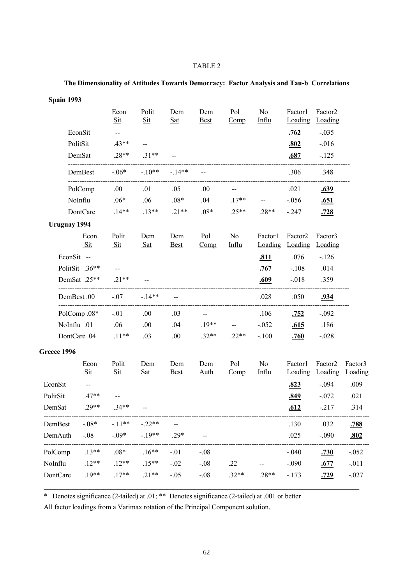|             | <b>Spain 1993</b>   |                     |                     |                    |                    |                    |                                |                                |                                        |                    |
|-------------|---------------------|---------------------|---------------------|--------------------|--------------------|--------------------|--------------------------------|--------------------------------|----------------------------------------|--------------------|
|             |                     | Econ<br><b>Sit</b>  | Polit<br><b>Sit</b> | Dem<br><b>Sat</b>  | Dem<br><b>Best</b> | Pol<br>Comp        | No<br><b>Influ</b>             | Factor1<br>Loading             | Factor <sub>2</sub><br>Loading         |                    |
|             | EconSit             | $-$                 |                     |                    |                    |                    |                                | <u>.762</u>                    | $-.035$                                |                    |
|             | PolitSit            | $.43**$             |                     |                    |                    |                    |                                | .802                           | $-0.016$                               |                    |
|             | DemSat              | $.28**$             | $.31**$             |                    |                    |                    |                                | .687                           | $-125$                                 |                    |
|             | DemBest             | $-06*$              | $-10**$             | $-14**$            |                    |                    |                                | .306                           | .348                                   |                    |
|             | PolComp             | .00.                | .01                 | .05                | .00                |                    |                                | .021                           | .639                                   |                    |
|             | NoInflu             | $.06*$              | .06                 | $.08*$             | .04                | $.17**$            | $\overline{\phantom{a}}$       | $-0.056$                       | .651                                   |                    |
|             | DontCare            | $.14**$             | $.13**$             | $.21**$            | $.08*$             | $.25**$            | $.28**$                        | $-.247$                        | .728                                   |                    |
|             | <b>Uruguay 1994</b> |                     |                     |                    |                    |                    |                                |                                |                                        |                    |
|             | Econ<br><u>Sit</u>  | Polit<br>Sit        | Dem<br><u>Sat</u>   | Dem<br><u>Best</u> | Pol<br>Comp        | No<br><b>Influ</b> | Factor1<br>Loading             | Factor <sub>2</sub><br>Loading | Factor3<br>Loading                     |                    |
|             | EconSit --          |                     |                     |                    |                    |                    | <u>.811</u>                    | .076                           | $-126$                                 |                    |
|             | PolitSit .36**      |                     |                     |                    |                    |                    | .767                           | $-.108$                        | .014                                   |                    |
|             | DemSat .25**        | $.21**$             |                     |                    |                    |                    | .609                           | $-.018$                        | .359                                   |                    |
|             | DemBest .00         | $-.07$              | $-14**$             |                    |                    |                    | .028                           | .050                           | <u>.934</u>                            |                    |
|             | PolComp.08*         | $-.01$              | .00.                | .03                | $\overline{a}$     |                    | .106                           | .752                           | $-.092$                                |                    |
|             | NoInflu .01         | .06                 | .00.                | .04                | $.19**$            |                    | $-.052$                        | .615                           | .186                                   |                    |
|             | DontCare .04        | $.11**$             | .03                 | .00                | $.32**$            | $.22**$            | $-.100$                        | .760                           | $-.028$                                |                    |
| Greece 1996 |                     |                     |                     |                    |                    |                    |                                |                                |                                        |                    |
|             | Econ<br><u>Sit</u>  | Polit<br><b>Sit</b> | Dem<br><u>Sat</u>   | Dem<br><b>Best</b> | Dem<br><b>Auth</b> | Pol<br>Comp        | N <sub>0</sub><br><b>Influ</b> | Factor1                        | Factor <sub>2</sub><br>Loading Loading | Factor3<br>Loading |
| EconSit     | $\overline{a}$      |                     |                     |                    |                    |                    |                                | .823                           | $-.094$                                | .009               |
| PolitSit    | $.47**$             |                     |                     |                    |                    |                    |                                | .849                           | $-.072$                                | .021               |
| DemSat      | $.29**$             | $.34**$             |                     |                    |                    |                    |                                | .612                           | $-.217$                                | .314               |
| DemBest     | $-.08*$             | $-.11**$            | $-.22**$            |                    |                    |                    |                                | .130                           | .032                                   | .788               |
| DemAuth     | $-.08$              | $-0.09*$            | $-19**$             | $.29*$             |                    |                    |                                | .025                           | $-.090$                                | .802               |
| PolComp     | $.13**$             | $.08*$              | $.16**$             | $-.01$             | $-.08$             |                    |                                | $-.040$                        | .730                                   | $-.052$            |
| NoInflu     | $.12**$             | $.12**$             | $.15***$            | $-.02$             | $-.08$             | .22                |                                | $-.090$                        | .677                                   | $-.011$            |
| DontCare    | $.19**$             | $.17**$             | $.21**$             | $-.05$             | $-.08$             | $.32**$            | $.28**$                        | $-.173$                        | <u>.729</u>                            | $-.027$            |

# **The Dimensionality of Attitudes Towards Democracy: Factor Analysis and Tau-b Correlations**

\* Denotes significance (2-tailed) at .01; \*\* Denotes significance (2-tailed) at .001 or better

All factor loadings from a Varimax rotation of the Principal Component solution.

 $\mathcal{L}_\mathcal{L} = \{ \mathcal{L}_\mathcal{L} = \{ \mathcal{L}_\mathcal{L} = \{ \mathcal{L}_\mathcal{L} = \{ \mathcal{L}_\mathcal{L} = \{ \mathcal{L}_\mathcal{L} = \{ \mathcal{L}_\mathcal{L} = \{ \mathcal{L}_\mathcal{L} = \{ \mathcal{L}_\mathcal{L} = \{ \mathcal{L}_\mathcal{L} = \{ \mathcal{L}_\mathcal{L} = \{ \mathcal{L}_\mathcal{L} = \{ \mathcal{L}_\mathcal{L} = \{ \mathcal{L}_\mathcal{L} = \{ \mathcal{L}_\mathcal{$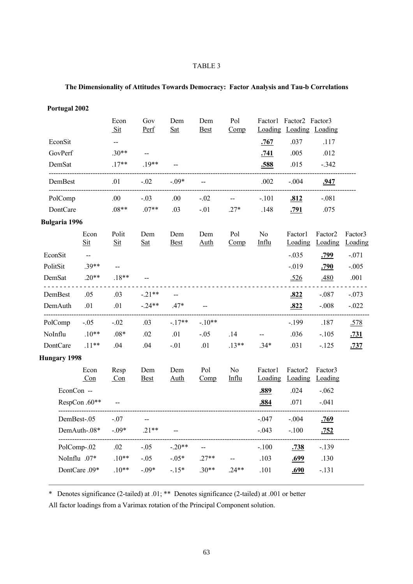|                      | Portugal 2002            |                          |                    |                    |                    |                     |                          |                                                    |                                |                    |
|----------------------|--------------------------|--------------------------|--------------------|--------------------|--------------------|---------------------|--------------------------|----------------------------------------------------|--------------------------------|--------------------|
|                      |                          | Econ<br>Sit              | Gov<br>Perf        | Dem<br><b>Sat</b>  | Dem<br><b>Best</b> | Pol<br>Comp         |                          | Factor1 Factor2 Factor3<br>Loading Loading Loading |                                |                    |
| EconSit              |                          | $\overline{\phantom{a}}$ |                    |                    |                    |                     | <u>.767</u>              | .037                                               | .117                           |                    |
| GovPerf              |                          | $.30**$                  | $-$                |                    |                    |                     | .741                     | .005                                               | .012                           |                    |
| DemSat               |                          | $.17**$                  | $.19**$            |                    |                    |                     | .588                     | .015                                               | $-.342$                        |                    |
| DemBest              |                          | .01                      | $-.02$             | $-0.09*$           |                    | ------------------- | .002                     | $-.004$                                            | <u>.947</u>                    |                    |
| PolComp              |                          | .00.                     | $-.03$             | .00.               | $-.02$             | $-$                 | $-.101$                  | .812                                               | $-.081$                        |                    |
| <b>DontCare</b>      |                          | $.08**$                  | $.07**$            | .03                | $-.01$             | $.27*$              | .148                     | .791                                               | .075                           |                    |
| <b>Bulgaria 1996</b> |                          |                          |                    |                    |                    |                     |                          |                                                    |                                |                    |
|                      | Econ<br><b>Sit</b>       | Polit<br><b>Sit</b>      | Dem<br><u>Sat</u>  | Dem<br><b>Best</b> | Dem<br><b>Auth</b> | Pol<br>Comp         | No<br><b>Influ</b>       | Factor1<br>Loading                                 | Factor <sub>2</sub><br>Loading | Factor3<br>Loading |
| EconSit              | $\overline{\phantom{a}}$ |                          |                    |                    |                    |                     |                          | $-.035$                                            | <u>.799</u>                    | $-.071$            |
| PolitSit             | $.39**$                  |                          |                    |                    |                    |                     |                          | $-019$                                             | .790                           | $-.005$            |
| DemSat               | $.20**$                  | $.18**$                  |                    |                    |                    |                     |                          | .526                                               | .480                           | .001               |
| DemBest              | .05                      | .03                      | $-.21**$           |                    |                    |                     |                          | .822                                               | $-.087$                        | $-.073$            |
| DemAuth              | .01                      | .01                      | $-0.24**$          | $.47*$             |                    |                     |                          | .822                                               | $-.008$                        | $-.022$            |
| PolComp              | $-.05$                   | $-.02$                   | .03                | $-17**$            | $-10**$            |                     |                          | $-199$                                             | .187                           | .578               |
| NoInflu              | $.10**$                  | $.08*$                   | .02                | .01                | $-.05$             | .14                 | $\overline{\phantom{a}}$ | .036                                               | $-.105$                        | .731               |
| DontCare             | $.11**$                  | .04                      | .04                | $-.01$             | .01                | $.13**$             | $.34*$                   | .031                                               | $-125$                         | .737               |
| <b>Hungary 1998</b>  |                          |                          |                    |                    |                    |                     |                          |                                                    |                                |                    |
|                      | Econ<br>Con              | Resp<br>Con              | Dem<br><b>Best</b> | Dem<br><b>Auth</b> | Pol<br>Comp        | No<br><b>Influ</b>  | Factor1<br>Loading       | Factor <sub>2</sub><br>Loading                     | Factor3<br>Loading             |                    |
|                      | EconCon --               |                          |                    |                    |                    |                     | .889                     | .024                                               | $-.062$                        |                    |
|                      | RespCon.60**             |                          |                    |                    |                    |                     | .884                     | .071                                               | $-.041$                        |                    |
|                      | DemBest-.05              | $-.07$                   |                    |                    |                    |                     | $-.047$                  | $-.004$                                            | <u>.769</u>                    |                    |
|                      | DemAuth-.08*             | $-.09*$                  | $.21**$            |                    |                    |                     | $-.043$                  | $-.100$                                            | .752                           |                    |
|                      | PolComp-.02              | .02                      | $-.05$             | $-.20**$           |                    |                     | $-.100$                  | .738                                               | $-.139$                        |                    |
|                      | NoInflu .07*             | $.10**$                  | $-.05$             | $-0.05*$           | $.27**$            |                     | .103                     | <u>.699</u>                                        | .130                           |                    |
|                      | DontCare .09*            | $.10**$                  | $-0.09*$           | $-15*$             | $.30**$            | $.24**$             | .101                     | .690                                               | $-.131$                        |                    |

# **The Dimensionality of Attitudes Towards Democracy: Factor Analysis and Tau-b Correlations**

\* Denotes significance (2-tailed) at .01; \*\* Denotes significance (2-tailed) at .001 or better

All factor loadings from a Varimax rotation of the Principal Component solution.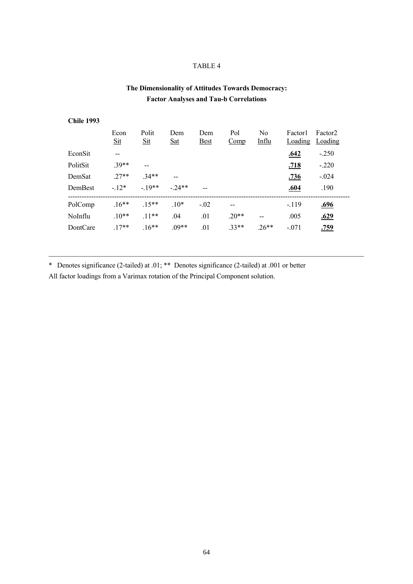# **The Dimensionality of Attitudes Towards Democracy: Factor Analyses and Tau-b Correlations**

#### **Chile 1993**

|          | Econ<br><b>Sit</b> | Polit<br><b>Sit</b> | Dem<br><u>Sat</u> | Dem<br><b>Best</b> | Pol<br><b>Comp</b> | N <sub>0</sub><br><u>Influ</u> | Factor1<br>Loading | Factor <sub>2</sub><br>Loading |
|----------|--------------------|---------------------|-------------------|--------------------|--------------------|--------------------------------|--------------------|--------------------------------|
| EconSit  | --                 |                     |                   |                    |                    |                                | .642               | $-.250$                        |
| PolitSit | $39**$             | --                  |                   |                    |                    |                                | <u>.718</u>        | $-.220$                        |
| DemSat   | $27**$             | $34**$              | $- -$             |                    |                    |                                | .736               | $-.024$                        |
| DemBest  | $-12*$             | $-19**$             | $-24**$           | $-$                |                    |                                | .604               | .190                           |
| PolComp  | $.16**$            | $.15**$             | $.10*$            | $-.02$             |                    |                                | $-119$             | <u>.696</u>                    |
| NoInflu  | $.10**$            | $.11**$             | .04               | .01                | $.20**$            | $- -$                          | .005               | <u>.629</u>                    |
| DontCare | $17**$             | $.16**$             | $.09**$           | .01                | $.33**$            | $.26**$                        | $-.071$            | <u>.759</u>                    |

 $\mathcal{L}_\mathcal{L} = \{ \mathcal{L}_\mathcal{L} = \{ \mathcal{L}_\mathcal{L} = \{ \mathcal{L}_\mathcal{L} = \{ \mathcal{L}_\mathcal{L} = \{ \mathcal{L}_\mathcal{L} = \{ \mathcal{L}_\mathcal{L} = \{ \mathcal{L}_\mathcal{L} = \{ \mathcal{L}_\mathcal{L} = \{ \mathcal{L}_\mathcal{L} = \{ \mathcal{L}_\mathcal{L} = \{ \mathcal{L}_\mathcal{L} = \{ \mathcal{L}_\mathcal{L} = \{ \mathcal{L}_\mathcal{L} = \{ \mathcal{L}_\mathcal{$ 

\* Denotes significance (2-tailed) at .01; \*\* Denotes significance (2-tailed) at .001 or better All factor loadings from a Varimax rotation of the Principal Component solution.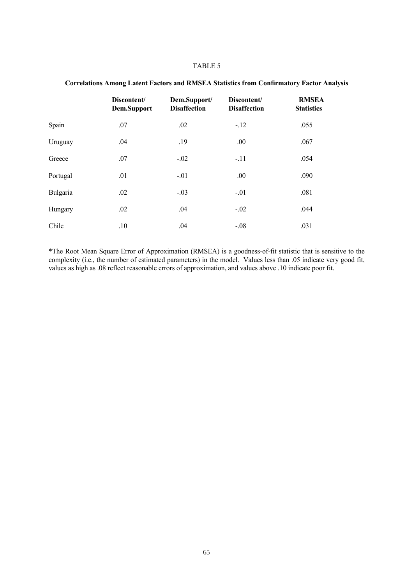|          | Discontent/<br>Dem.Support | Dem.Support/<br><b>Disaffection</b> | Discontent/<br><b>Disaffection</b> | <b>RMSEA</b><br><b>Statistics</b> |
|----------|----------------------------|-------------------------------------|------------------------------------|-----------------------------------|
| Spain    | .07                        | .02                                 | $-12$                              | .055                              |
| Uruguay  | .04                        | .19                                 | .00.                               | .067                              |
| Greece   | .07                        | $-.02$                              | $-.11$                             | .054                              |
| Portugal | .01                        | $-.01$                              | .00                                | .090                              |
| Bulgaria | .02                        | $-.03$                              | $-.01$                             | .081                              |
| Hungary  | .02                        | .04                                 | $-.02$                             | .044                              |
| Chile    | .10                        | .04                                 | $-.08$                             | .031                              |

#### **Correlations Among Latent Factors and RMSEA Statistics from Confirmatory Factor Analysis**

\*The Root Mean Square Error of Approximation (RMSEA) is a goodness-of-fit statistic that is sensitive to the complexity (i.e., the number of estimated parameters) in the model. Values less than .05 indicate very good fit, values as high as .08 reflect reasonable errors of approximation, and values above .10 indicate poor fit.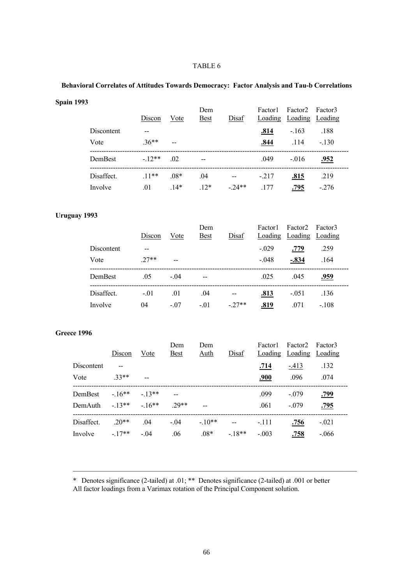# **Behavioral Correlates of Attitudes Towards Democracy: Factor Analysis and Tau-b Correlations**

|            | Discon  | Vote          | Dem<br><b>Best</b> | Disaf   | Factor1<br>Loading | Factor <sub>2</sub> Factor <sub>3</sub><br>Loading Loading |         |  |
|------------|---------|---------------|--------------------|---------|--------------------|------------------------------------------------------------|---------|--|
| Discontent |         |               |                    |         | <u>.814</u>        | $-163$                                                     | .188    |  |
| Vote       | $.36**$ | $\sim$ $\sim$ |                    |         | .844               | .114                                                       | $-.130$ |  |
| DemBest    | $-12**$ | .02           | $-$                |         | .049               | $-0.016$                                                   | .952    |  |
| Disaffect. | $11**$  | $.08*$        | .04                |         | $-217$             | <u>.815</u>                                                | .219    |  |
| Involve    | .01     | $.14*$        | $.12*$             | $-24**$ | .177               | .795                                                       | $-.276$ |  |

#### **Uruguay 1993**

**Spain 1993**

|            | Discon | Vote   | Dem<br><b>Best</b> | Disaf                    | Factor1<br>Loading | Factor <sub>2</sub> Factor <sub>3</sub><br>Loading | Loading |
|------------|--------|--------|--------------------|--------------------------|--------------------|----------------------------------------------------|---------|
| Discontent |        |        |                    |                          | $-.029$            | .779                                               | .259    |
| Vote       | $27**$ | $- -$  |                    |                          | $-.048$            | $-.834$                                            | .164    |
| DemBest    | .05    | $-.04$ | $- -$              |                          | .025               | .045                                               | .959    |
| Disaffect. | $-.01$ | .01    | .04                | $\overline{\phantom{m}}$ | <u>.813</u>        | $-.051$                                            | .136    |
| Involve    | 04     | $-.07$ | $-.01$             | $-27**$                  | <u>.819</u>        | .071                                               | $-.108$ |

#### **Greece 1996**

|            | Discon  | <u>Vote</u> | Dem<br><b>Best</b> | Dem<br><b>Auth</b> | Disaf   | Factor1     | Factor <sub>2</sub> Factor <sub>3</sub><br>Loading Loading | Loading     |  |
|------------|---------|-------------|--------------------|--------------------|---------|-------------|------------------------------------------------------------|-------------|--|
| Discontent |         |             |                    |                    |         | <u>.714</u> | $-413$                                                     | .132        |  |
| Vote       | $33**$  | $-$         |                    |                    |         | .900        | .096                                                       | .074        |  |
| DemBest    | $-16**$ | $-13**$     | $- -$              |                    |         | .099        | $-.079$                                                    | <u>.799</u> |  |
| DemAuth    | $-13**$ | $-16***$    | $29**$             | $- -$              |         | .061        | $-.079$                                                    | .795        |  |
| Disaffect. | $.20**$ | .04         | $-.04$             | $-10**$            | $- -$   | $-.111$     | .756                                                       | $-.021$     |  |
| Involve    | $-17**$ | $-.04$      | .06                | $.08*$             | $-18**$ | $-.003$     | <u>.758</u>                                                | $-.066$     |  |

\* Denotes significance (2-tailed) at .01; \*\* Denotes significance (2-tailed) at .001 or better All factor loadings from a Varimax rotation of the Principal Component solution.

 $\mathcal{L}_\text{max}$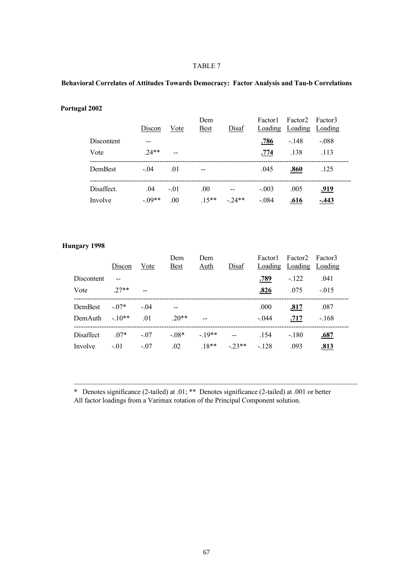#### **Behavioral Correlates of Attitudes Towards Democracy: Factor Analysis and Tau-b Correlations**

#### **Portugal 2002**

|            | Discon  | Vote   | Dem<br><b>Best</b> | Disaf                    | Factor1     | Factor <sub>2</sub> Factor <sub>3</sub><br>Loading Loading Loading |            |  |
|------------|---------|--------|--------------------|--------------------------|-------------|--------------------------------------------------------------------|------------|--|
| Discontent | $- -$   |        |                    |                          | <u>.786</u> | $-.148$                                                            | $-.088$    |  |
| Vote       | $24**$  | $\sim$ |                    |                          | .774        | .138                                                               | .113       |  |
| DemBest    | $-.04$  | .01    | $-$                |                          | .045        | .860                                                               | .125       |  |
| Disaffect. | .04     | $-.01$ | .00.               | $\overline{\phantom{a}}$ | $-.003$     | .005                                                               | <u>919</u> |  |
| Involve    | $-09**$ | .00    | $15**$             | $-24**$                  | $-.084$     | .616                                                               | $-.443$    |  |

#### **Hungary 1998**

|            | Discon  | Vote   | Dem<br>Best | Dem<br>Auth | Disaf   | Factor1<br>Loading | Factor <sub>2</sub><br>Loading | Factor3<br>Loading |
|------------|---------|--------|-------------|-------------|---------|--------------------|--------------------------------|--------------------|
| Discontent | $-$     |        |             |             |         | <u>.789</u>        | $-122$                         | .041               |
| Vote       | $27**$  | $-$    |             |             |         | .826               | .075                           | $-.015$            |
| DemBest    | $-.07*$ | $-.04$ |             |             |         | .000               | <u>.817</u>                    | .087               |
| DemAuth    | $-10**$ | .01    | $20**$      | $-$         |         | $-.044$            | .717                           | $-.168$            |
| Disaffect  | $.07*$  | $-.07$ | $-0.08*$    | $-19**$     | $-$     | .154               | $-.180$                        | .687               |
| Involve    | $-.01$  | $-.07$ | .02         | $.18**$     | $-23**$ | $-.128$            | .093                           | .813               |

\* Denotes significance (2-tailed) at .01; \*\* Denotes significance (2-tailed) at .001 or better

 $\_$  , and the set of the set of the set of the set of the set of the set of the set of the set of the set of the set of the set of the set of the set of the set of the set of the set of the set of the set of the set of th

All factor loadings from a Varimax rotation of the Principal Component solution.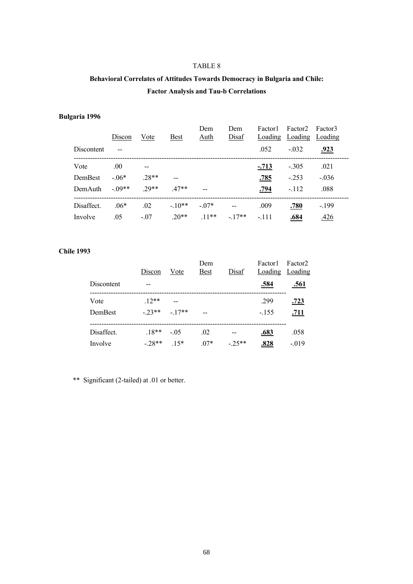# **Behavioral Correlates of Attitudes Towards Democracy in Bulgaria and Chile: Factor Analysis and Tau-b Correlations**

# **Bulgaria 1996**

|            | Discon  | Vote    | <b>Best</b> | Dem<br>Auth | Dem<br>Disaf | Factor1<br>Loading | Factor2<br>Loading Loading | Factor3     |  |
|------------|---------|---------|-------------|-------------|--------------|--------------------|----------------------------|-------------|--|
| Discontent |         |         |             |             |              | .052               | $-.032$                    | .923        |  |
| Vote       | .00.    | $- -$   |             |             |              | $-713$             | $-.305$                    | .021        |  |
| DemBest    | $-.06*$ | $.28**$ |             |             |              | .785               | $-.253$                    | $-.036$     |  |
| DemAuth    | $-09**$ | $70**$  | $47**$      |             |              | .794               | $-112$                     | .088        |  |
| Disaffect. | $.06*$  | .02     | $-10**$     | $-07*$      | $-$          | .009               | <u>.780</u>                | $-.199$     |  |
| Involve    | .05     | $-.07$  | $20**$      | $11***$     | $-17**$      | $-111$             | .684                       | <u>.426</u> |  |

## **Chile 1993**

|            | Discon    | Vote    | Dem<br><b>Best</b> | Disaf   | Factor1<br>Loading | Factor <sub>2</sub><br>Loading |
|------------|-----------|---------|--------------------|---------|--------------------|--------------------------------|
| Discontent |           |         |                    |         | .584               | .561                           |
| Vote       | $12**$    |         |                    |         | .299               | <u>.723</u>                    |
| DemBest    | $-0.23**$ | $-17**$ |                    |         | $-.155$            | .711                           |
| Disaffect. | $.18**$   | $-.05$  | .02                |         | .683               | .058                           |
| Involve    | $-28**$   | $15*$   | $07*$              | $-25**$ | .828               | $-.019$                        |

\*\* Significant (2-tailed) at .01 or better.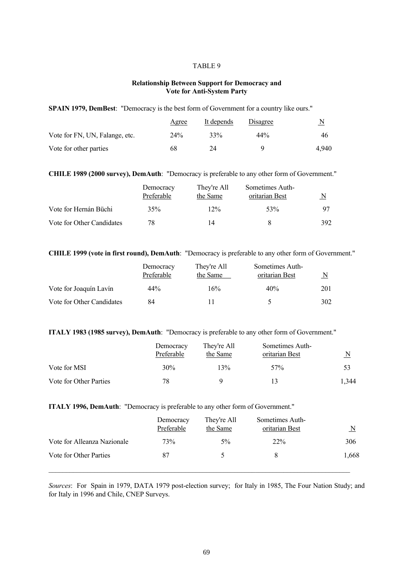#### **Relationship Between Support for Democracy and Vote for Anti-System Party**

**SPAIN 1979, DemBest**: "Democracy is the best form of Government for a country like ours."

|                                | Agree | It depends | Disagree | $\Delta$ |
|--------------------------------|-------|------------|----------|----------|
| Vote for FN, UN, Falange, etc. | 24%   | 33%        | 44%      | 46       |
| Vote for other parties         | 68    | 24         |          | 4.940    |

**CHILE 1989 (2000 survey), DemAuth**: "Democracy is preferable to any other form of Government."

|                           | Democracy<br>Preferable | They're All<br>the Same | Sometimes Auth-<br>oritarian Best | N    |
|---------------------------|-------------------------|-------------------------|-----------------------------------|------|
| Vote for Hernán Büchi     | 35%                     | 12%                     | 53%                               |      |
| Vote for Other Candidates | 78.                     | 14                      | x                                 | 392. |

**CHILE 1999 (vote in first round), DemAuth**: "Democracy is preferable to any other form of Government."

|                           | Democracy<br>Preferable | They're All<br>the Same | Sometimes Auth-<br>oritarian Best | N   |
|---------------------------|-------------------------|-------------------------|-----------------------------------|-----|
| Vote for Joaquín Lavín    | 44%                     | 16%                     | 40%                               | 201 |
| Vote for Other Candidates | 84                      |                         | ╮                                 | 302 |

**ITALY 1983 (1985 survey), DemAuth**: "Democracy is preferable to any other form of Government."

|                        | Democracy<br>Preferable | They're All<br>the Same | Sometimes Auth-<br>oritarian Best |       |
|------------------------|-------------------------|-------------------------|-----------------------------------|-------|
| Vote for MSI           | 30%                     | 13%                     | 57 <sub>%</sub>                   | 53    |
| Vote for Other Parties | 78                      |                         |                                   | 1.344 |

**ITALY 1996, DemAuth**: "Democracy is preferable to any other form of Government."

|                             | Democracy<br>Preferable | Thev're All<br>the Same | Sometimes Auth-<br>oritarian Best | N     |
|-----------------------------|-------------------------|-------------------------|-----------------------------------|-------|
| Vote for Alleanza Nazionale | 73%                     | $5\%$                   | <b>22%</b>                        | 306   |
| Vote for Other Parties      | 87                      |                         | 8                                 | 1,668 |

*Sources*: For Spain in 1979, DATA 1979 post-election survey; for Italy in 1985, The Four Nation Study; and for Italy in 1996 and Chile, CNEP Surveys.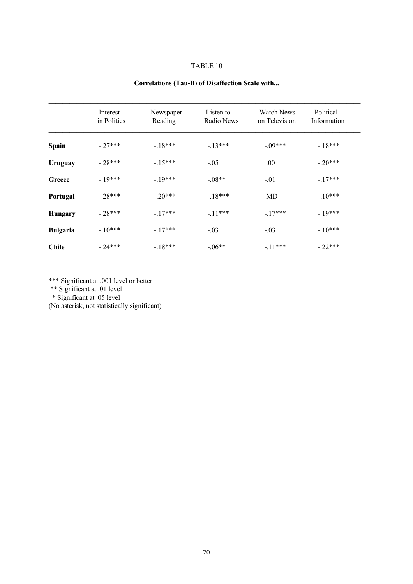# **Correlations (Tau-B) of Disaffection Scale with...**

|                 | Interest<br>in Politics | Newspaper<br>Reading | Listen to<br>Radio News | <b>Watch News</b><br>on Television | Political<br>Information |
|-----------------|-------------------------|----------------------|-------------------------|------------------------------------|--------------------------|
| <b>Spain</b>    | $-27***$                | $-18***$             | $-13***$                | $-09***$                           | $-18***$                 |
| Uruguay         | $-28***$                | $-15***$             | $-.05$                  | .00                                | $-.20***$                |
| Greece          | $-19***$                | $-19***$             | $-08**$                 | $-.01$                             | $-17***$                 |
| Portugal        | $-28***$                | $-.20***$            | $-18***$                | MD                                 | $-.10***$                |
| <b>Hungary</b>  | $-28***$                | $-17***$             | $-11***$                | $-17***$                           | $-19***$                 |
| <b>Bulgaria</b> | $-10***$                | $-17***$             | $-.03$                  | $-.03$                             | $-.10***$                |
| <b>Chile</b>    | $-24***$                | $-18***$             | $-06**$                 | $-11***$                           | $-22***$                 |
|                 |                         |                      |                         |                                    |                          |

 $\_$  , and the state of the state of the state of the state of the state of the state of the state of the state of the state of the state of the state of the state of the state of the state of the state of the state of the

\*\*\* Significant at .001 level or better

\*\* Significant at .01 level

\* Significant at .05 level

(No asterisk, not statistically significant)